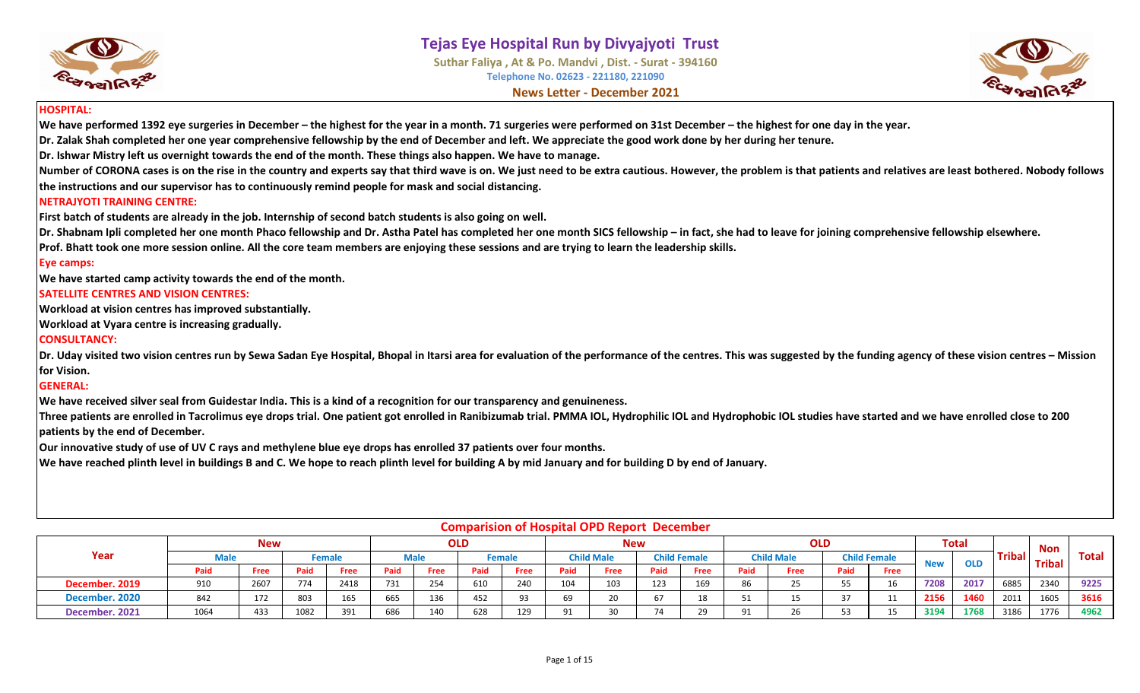



#### **HOSPITAL:**

**We have performed 1392 eye surgeries in December – the highest for the year in a month. 71 surgeries were performed on 31st December – the highest for one day in the year.**

**Dr. Zalak Shah completed her one year comprehensive fellowship by the end of December and left. We appreciate the good work done by her during her tenure.**

**Dr. Ishwar Mistry left us overnight towards the end of the month. These things also happen. We have to manage.**

**Number of CORONA cases is on the rise in the country and experts say that third wave is on. We just need to be extra cautious. However, the problem is that patients and relatives are least bothered. Nobody follows the instructions and our supervisor has to continuously remind people for mask and social distancing.**

#### **NETRAJYOTI TRAINING CENTRE:**

**First batch of students are already in the job. Internship of second batch students is also going on well.**

**Dr. Shabnam Ipli completed her one month Phaco fellowship and Dr. Astha Patel has completed her one month SICS fellowship – in fact, she had to leave for joining comprehensive fellowship elsewhere.**

**Prof. Bhatt took one more session online. All the core team members are enjoying these sessions and are trying to learn the leadership skills.**

#### **Eye camps:**

**We have started camp activity towards the end of the month.**

#### **SATELLITE CENTRES AND VISION CENTRES:**

**Workload at vision centres has improved substantially.** 

**Workload at Vyara centre is increasing gradually.**

#### **CONSULTANCY:**

**Dr. Uday visited two vision centres run by Sewa Sadan Eye Hospital, Bhopal in Itarsi area for evaluation of the performance of the centres. This was suggested by the funding agency of these vision centres – Mission for Vision.**

#### **GENERAL:**

**We have received silver seal from Guidestar India. This is a kind of a recognition for our transparency and genuineness.** 

**Three patients are enrolled in Tacrolimus eye drops trial. One patient got enrolled in Ranibizumab trial. PMMA IOL, Hydrophilic IOL and Hydrophobic IOL studies have started and we have enrolled close to 200 patients by the end of December.**

**Our innovative study of use of UV C rays and methylene blue eye drops has enrolled 37 patients over four months.**

**We have reached plinth level in buildings B and C. We hope to reach plinth level for building A by mid January and for building D by end of January.**

|                |      |            |      |        |      |             |      |        |      | Compansion of Hospital Of D'Report December |      |                     |      |                   |      |                     |            |              |               |               |       |
|----------------|------|------------|------|--------|------|-------------|------|--------|------|---------------------------------------------|------|---------------------|------|-------------------|------|---------------------|------------|--------------|---------------|---------------|-------|
|                |      | <b>New</b> |      |        |      |             | OLD  |        |      | <b>New</b>                                  |      |                     |      | <b>OLD</b>        |      |                     |            | <b>Total</b> |               | <b>Non</b>    |       |
| Year           | Male |            |      | Female |      | <b>Male</b> |      | Female |      | <b>Child Male</b>                           |      | <b>Child Female</b> |      | <b>Child Male</b> |      | <b>Child Female</b> | <b>New</b> | <b>OLD</b>   | <b>Tribal</b> | <b>Tribal</b> | Total |
|                | Paid | Free       | Paid | Free   | Paid | Free        | Paid | Free   | Paid | Free                                        | Paid | Free                | Paid | Free              | Paid | Free                |            |              |               |               |       |
| December. 2019 | 910  | 2607       | 774  | 2418   | 731  | 254         | 610  | 240    | 104  | 103                                         | 123  | 169                 | 86   |                   | 55   | 16                  | 7208       | 2017         | 6885          | 2340          | 9225  |
| December. 2020 | 842  | 172        | 803  | 165    | 665  | 136         | 152  | 93     | c٥   | 20                                          | 67   | 18                  |      |                   | 37   | $\sim$              | 2156       | 1460         | 2011          | 1605          | 3616  |
| December. 2021 | 1064 | 433        | 1082 | 391    | 686  | 140         | 628  | 129    |      | 30                                          | 74   | 29                  | 91   | 26.               | 53   |                     | 3194       | 1768         | 3186          | 1776          | 4962  |

#### **Comparision of Hospital OPD Report December**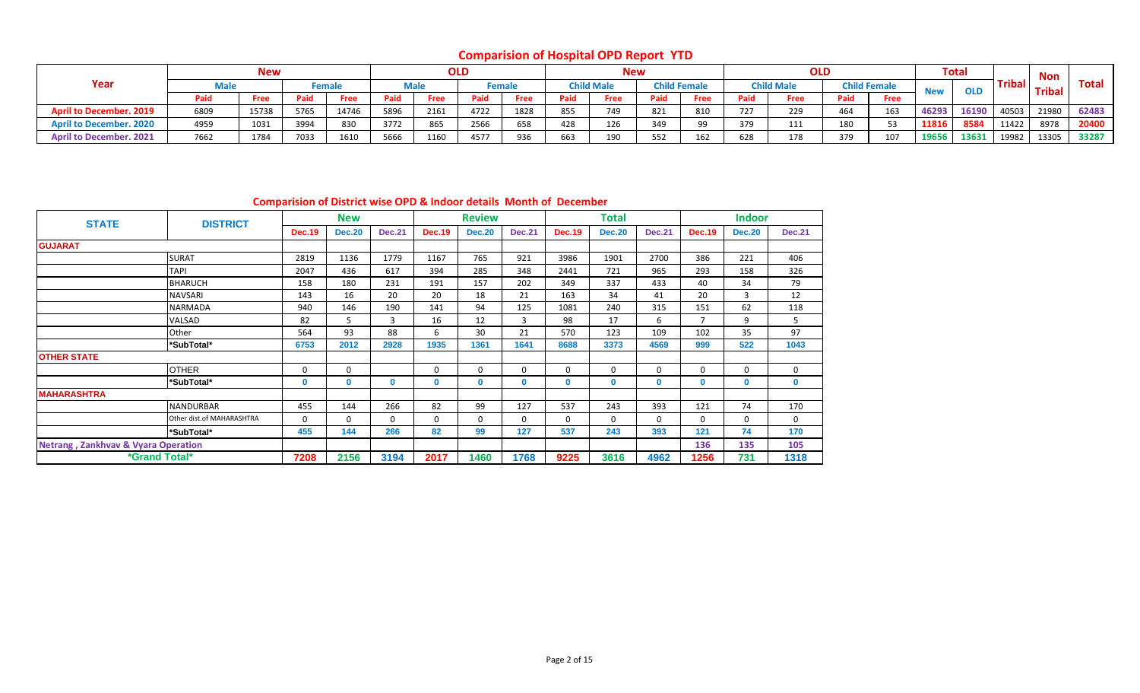**Comparision of Hospital OPD Report YTD**

|                                |      | <b>New</b> |      |             |      |      | <b>OLD</b> |             |      | <b>New</b>        |      |                     |      | <b>OLD</b>        |      |                     |            | <b>Total</b> |               | <b>Non</b>   |              |
|--------------------------------|------|------------|------|-------------|------|------|------------|-------------|------|-------------------|------|---------------------|------|-------------------|------|---------------------|------------|--------------|---------------|--------------|--------------|
| Year                           |      |            |      | Female      |      | Male |            | <b>emal</b> |      | <b>Child Male</b> |      | <b>Child Female</b> |      | <b>Child Male</b> |      | <b>Child Female</b> | <b>New</b> | <b>OLD</b>   | <b>Tribal</b> | <b>Triba</b> | <b>Total</b> |
|                                | Paid | Free       | Paid | <b>Free</b> | Paid | Free |            | Free        | Paid | Free              | Paid | Free                | Paid | Free              | Paid | Free                |            |              |               |              |              |
| <b>April to December, 2019</b> | 6809 | 15738      | 5765 | 14746       | 5896 | 2161 | 4722       | 1828        | 855  | 749               | 821  | 810                 | 727  | 229               | 464  | 163                 | 46293      | 16190        | 40503         | 21980        | 62483        |
| <b>April to December. 2020</b> | 4959 | 1031       | 3994 | 830         | 3772 | 865  | 2566       | 658         | 428  | 126               | 349  | 99                  | 379  | 111               | 180  | 53                  | 11816      | 8584         | 11422         | 8978         | 20400        |
| <b>April to December. 2021</b> | 7662 | 1784       | 7033 | 1610        | 5666 | 1160 | 4577       | 936         | 663  | 190               | 552  | 162                 | 628  | 178               | 379  | 107                 | 1965       | 13631        | 19982         | 13305        | 33287        |

**Comparision of District wise OPD & Indoor details Month of December**

| <b>STATE</b>                                   | <b>DISTRICT</b>           |               | <b>New</b>    |               |               | <b>Review</b> |               |               | <b>Total</b>  |               |                | <b>Indoor</b> |               |
|------------------------------------------------|---------------------------|---------------|---------------|---------------|---------------|---------------|---------------|---------------|---------------|---------------|----------------|---------------|---------------|
|                                                |                           | <b>Dec.19</b> | <b>Dec.20</b> | <b>Dec.21</b> | <b>Dec.19</b> | <b>Dec.20</b> | <b>Dec.21</b> | <b>Dec.19</b> | <b>Dec.20</b> | <b>Dec.21</b> | <b>Dec.19</b>  | <b>Dec.20</b> | <b>Dec.21</b> |
| <b>GUJARAT</b>                                 |                           |               |               |               |               |               |               |               |               |               |                |               |               |
|                                                | <b>SURAT</b>              | 2819          | 1136          | 1779          | 1167          | 765           | 921           | 3986          | 1901          | 2700          | 386            | 221           | 406           |
|                                                | <b>TAPI</b>               | 2047          | 436           | 617           | 394           | 285           | 348           | 2441          | 721           | 965           | 293            | 158           | 326           |
|                                                | <b>BHARUCH</b>            | 158           | 180           | 231           | 191           | 157           | 202           | 349           | 337           | 433           | 40             | 34            | 79            |
|                                                | NAVSARI                   | 143           | 16            | 20            | 20            | 18            | 21            | 163           | 34            | 41            | 20             | 3             | 12            |
|                                                | NARMADA                   | 940           | 146           | 190           | 141           | 94            | 125           | 1081          | 240           | 315           | 151            | 62            | 118           |
|                                                | VALSAD                    | 82            | 5.            | 3             | 16            | 12            | 3             | 98            | 17            | 6             | $\overline{7}$ | 9             | 5             |
|                                                | Other                     | 564           | 93            | 88            | 6             | 30            | 21            | 570           | 123           | 109           | 102            | 35            | 97            |
|                                                | *SubTotal*                | 6753          | 2012          | 2928          | 1935          | 1361          | 1641          | 8688          | 3373          | 4569          | 999            | 522           | 1043          |
| <b>OTHER STATE</b>                             |                           |               |               |               |               |               |               |               |               |               |                |               |               |
|                                                | <b>OTHER</b>              | $\Omega$      | 0             |               | 0             | $\mathbf 0$   | 0             | 0             | 0             | $\Omega$      | $\Omega$       | 0             | 0             |
|                                                | *SubTotal*                | $\Omega$      | 0             | $\mathbf 0$   | 0             | 0             | $\mathbf{0}$  | 0             | 0             | $\mathbf{0}$  | 0              | $\mathbf{0}$  | $\mathbf{0}$  |
| <b>MAHARASHTRA</b>                             |                           |               |               |               |               |               |               |               |               |               |                |               |               |
|                                                | <b>NANDURBAR</b>          | 455           | 144           | 266           | 82            | 99            | 127           | 537           | 243           | 393           | 121            | 74            | 170           |
|                                                | Other dist.of MAHARASHTRA | $\Omega$      | 0             | $\Omega$      | 0             | $\mathbf 0$   | 0             | 0             | 0             | $\Omega$      | $\Omega$       | 0             | $\mathbf 0$   |
|                                                | *SubTotal*                | 455           | 144           | 266           | 82            | 99            | 127           | 537           | 243           | 393           | 121            | 74            | 170           |
| <b>Netrang, Zankhvav &amp; Vyara Operation</b> |                           |               |               |               |               |               |               |               |               |               | 136            | 135           | 105           |
| <i><b>*Grand Total*</b></i>                    |                           | 7208          | 2156          | 3194          | 2017          | 1460          | 1768          | 9225          | 3616          | 4962          | 1256           | 731           | 1318          |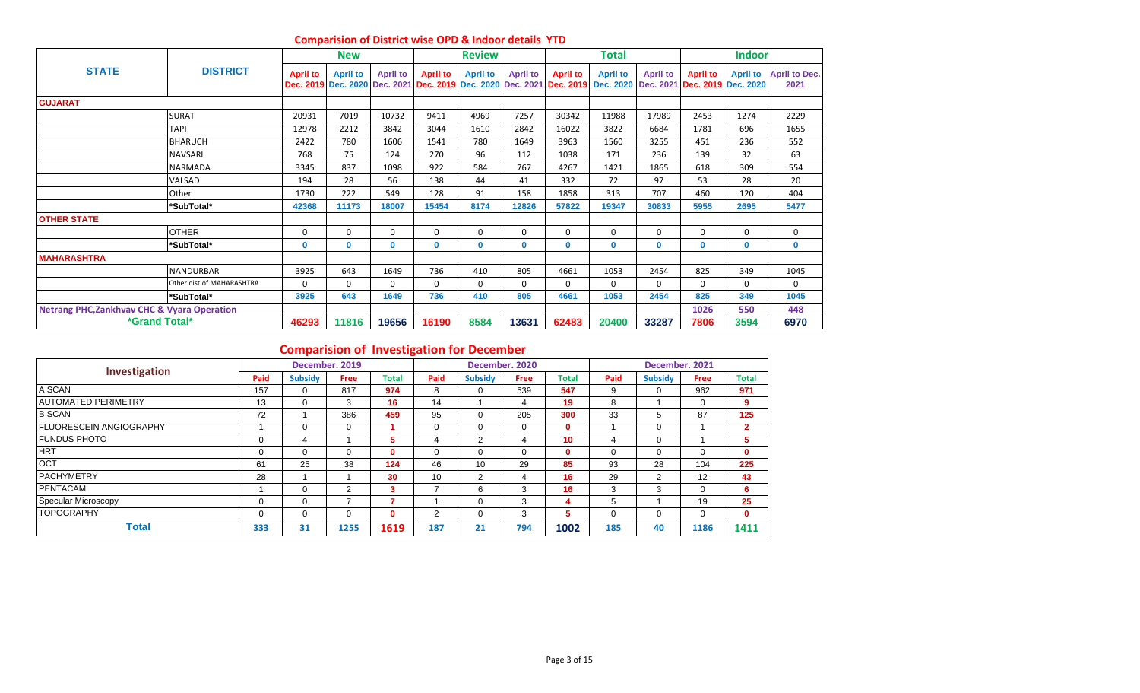|                                                        |                           |                 | <b>New</b>      |                 |                                                                      | <b>Review</b>   |                 |                                        | Total                                  |                 |                                        | <b>Indoor</b>   |                              |
|--------------------------------------------------------|---------------------------|-----------------|-----------------|-----------------|----------------------------------------------------------------------|-----------------|-----------------|----------------------------------------|----------------------------------------|-----------------|----------------------------------------|-----------------|------------------------------|
| <b>STATE</b>                                           | <b>DISTRICT</b>           | <b>April to</b> | <b>April to</b> | <b>April to</b> | <b>April to</b><br>Dec. 2019 Dec. 2020 Dec. 2021 Dec. 2019 Dec. 2020 | <b>April to</b> | <b>April to</b> | <b>April to</b><br>Dec. 2021 Dec. 2019 | <b>April to</b><br>Dec. 2020 Dec. 2021 | <b>April to</b> | <b>April to</b><br>Dec. 2019 Dec. 2020 | <b>April to</b> | <b>April to Dec.</b><br>2021 |
| <b>GUJARAT</b>                                         |                           |                 |                 |                 |                                                                      |                 |                 |                                        |                                        |                 |                                        |                 |                              |
|                                                        | <b>SURAT</b>              | 20931           | 7019            | 10732           | 9411                                                                 | 4969            | 7257            | 30342                                  | 11988                                  | 17989           | 2453                                   | 1274            | 2229                         |
|                                                        | <b>TAPI</b>               | 12978           | 2212            | 3842            | 3044                                                                 | 1610            | 2842            | 16022                                  | 3822                                   | 6684            | 1781                                   | 696             | 1655                         |
|                                                        | <b>BHARUCH</b>            | 2422            | 780             | 1606            | 1541                                                                 | 780             | 1649            | 3963                                   | 1560                                   | 3255            | 451                                    | 236             | 552                          |
|                                                        | <b>NAVSARI</b>            | 768             | 75              | 124             | 270                                                                  | 96              | 112             | 1038                                   | 171                                    | 236             | 139                                    | 32              | 63                           |
|                                                        | <b>NARMADA</b>            | 3345            | 837             | 1098            | 922                                                                  | 584             | 767             | 4267                                   | 1421                                   | 1865            | 618                                    | 309             | 554                          |
|                                                        | VALSAD                    | 194             | 28              | 56              | 138                                                                  | 44              | 41              | 332                                    | 72                                     | 97              | 53                                     | 28              | 20                           |
|                                                        | Other                     | 1730            | 222             | 549             | 128                                                                  | 91              | 158             | 1858                                   | 313                                    | 707             | 460                                    | 120             | 404                          |
|                                                        | *SubTotal*                | 42368           | 11173           | 18007           | 15454                                                                | 8174            | 12826           | 57822                                  | 19347                                  | 30833           | 5955                                   | 2695            | 5477                         |
| <b>OTHER STATE</b>                                     |                           |                 |                 |                 |                                                                      |                 |                 |                                        |                                        |                 |                                        |                 |                              |
|                                                        | <b>OTHER</b>              | 0               | 0               | $\mathbf 0$     | 0                                                                    | 0               | 0               | 0                                      | $\mathbf 0$                            | 0               | $\Omega$                               | 0               | 0                            |
|                                                        | *SubTotal*                | 0               | $\mathbf{0}$    | $\mathbf{0}$    | 0                                                                    | $\mathbf{0}$    | $\mathbf 0$     | $\mathbf 0$                            | $\mathbf{0}$                           | 0               | $\mathbf{0}$                           | $\mathbf{0}$    | $\mathbf{0}$                 |
| <b>MAHARASHTRA</b>                                     |                           |                 |                 |                 |                                                                      |                 |                 |                                        |                                        |                 |                                        |                 |                              |
|                                                        | <b>NANDURBAR</b>          | 3925            | 643             | 1649            | 736                                                                  | 410             | 805             | 4661                                   | 1053                                   | 2454            | 825                                    | 349             | 1045                         |
|                                                        | Other dist.of MAHARASHTRA | $\Omega$        | $\Omega$        | $\Omega$        | 0                                                                    | $\Omega$        | $\mathbf{0}$    | $\mathbf{0}$                           | $\Omega$                               | 0               | $\Omega$                               | $\Omega$        | 0                            |
|                                                        | *SubTotal*                | 3925            | 643             | 1649            | 736                                                                  | 410             | 805             | 4661                                   | 1053                                   | 2454            | 825                                    | 349             | 1045                         |
| <b>Netrang PHC, Zankhvav CHC &amp; Vyara Operation</b> |                           |                 |                 |                 |                                                                      |                 |                 |                                        |                                        |                 | 1026                                   | 550             | 448                          |
| *Grand Total*                                          |                           | 46293           | 11816           | 19656           | 16190                                                                | 8584            | 13631           | 62483                                  | 20400                                  | 33287           | 7806                                   | 3594            | 6970                         |

#### **Comparision of District wise OPD & Indoor details YTD**

## **Comparision of Investigation for December**

| Investigation                  |      |                | December. 2019 |              |                |                | December, 2020 |              |          | December. 2021 |             |              |
|--------------------------------|------|----------------|----------------|--------------|----------------|----------------|----------------|--------------|----------|----------------|-------------|--------------|
|                                | Paid | <b>Subsidy</b> | <b>Free</b>    | Total        | Paid           | <b>Subsidy</b> | <b>Free</b>    | <b>Total</b> | Paid     | <b>Subsidy</b> | <b>Free</b> | <b>Total</b> |
| A SCAN                         | 157  | $\Omega$       | 817            | 974          | 8              | 0              | 539            | 547          | 9        | $\Omega$       | 962         | 971          |
| <b>AUTOMATED PERIMETRY</b>     | 13   | 0              | 3              | 16           | 14             |                | 4              | 19           | 8        |                |             | 9            |
| <b>B SCAN</b>                  | 72   |                | 386            | 459          | 95             | $\Omega$       | 205            | 300          | 33       | 5              | 87          | 125          |
| <b>FLUORESCEIN ANGIOGRAPHY</b> |      | 0              | 0              |              |                | 0              | 0              | $\mathbf{0}$ |          | $\mathbf 0$    |             | $\mathbf{2}$ |
| <b>IFUNDUS PHOTO</b>           | 0    | 4              |                | 5            |                | 2              | 4              | 10           | 4        | 0              |             | 5            |
| <b>HRT</b>                     | 0    | $\Omega$       | 0              | $\mathbf{0}$ |                | $\Omega$       | $\Omega$       | $\mathbf{0}$ | 0        | $\Omega$       |             | $\mathbf{0}$ |
| <b>OCT</b>                     | 61   | 25             | 38             | 124          | 46             | 10             | 29             | 85           | 93       | 28             | 104         | 225          |
| <b>IPACHYMETRY</b>             | 28   |                |                | 30           | 10             | 2              | 4              | 16           | 29       | 2              | 12          | 43           |
| PENTACAM                       |      | $\Omega$       | 2              | 3            |                | 6              | 3              | 16           | 3        | 3              | $\Omega$    | 6            |
| Specular Microscopy            | 0    | $\Omega$       |                |              |                | $\Omega$       | 3              | 4            | 5        |                | 19          | 25           |
| <b>TOPOGRAPHY</b>              | 0    | 0              | $\Omega$       | $\mathbf 0$  | $\overline{2}$ | 0              | 3              | 5            | $\Omega$ | 0              | 0           | $\mathbf{0}$ |
| <b>Total</b>                   | 333  | 31             | 1255           | 1619         | 187            | 21             | 794            | 1002         | 185      | 40             | 1186        | 1411         |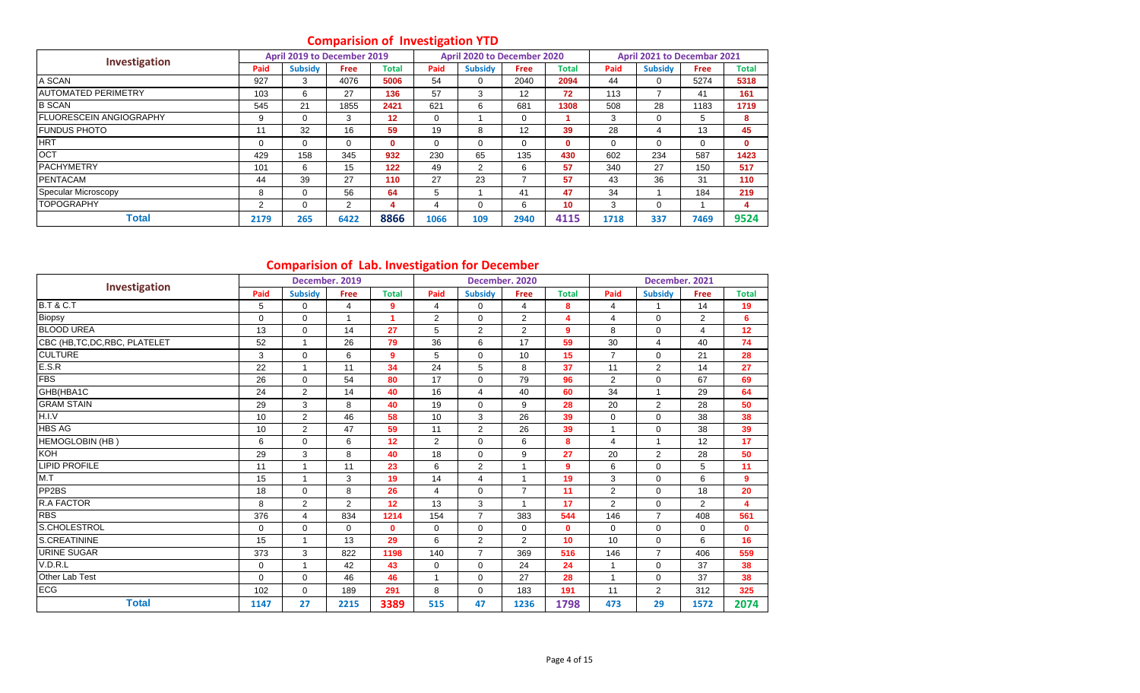## **Comparision of Investigation YTD**

|                                 |          | April 2019 to December 2019 |                |              | ÷    | April 2020 to December 2020 |             |              |      | April 2021 to Decembar 2021 |      |              |
|---------------------------------|----------|-----------------------------|----------------|--------------|------|-----------------------------|-------------|--------------|------|-----------------------------|------|--------------|
| Investigation                   | Paid     | <b>Subsidy</b>              | <b>Free</b>    | Total        | Paid | <b>Subsidy</b>              | <b>Free</b> | Total        | Paid | <b>Subsidy</b>              | Free | <b>Total</b> |
| A SCAN                          | 927      | 3                           | 4076           | 5006         | 54   | 0                           | 2040        | 2094         | 44   | 0                           | 5274 | 5318         |
| <b>JAUTOMATED PERIMETRY</b>     | 103      | 6                           | 27             | 136          | 57   | 3                           | 12          | 72           | 113  |                             | 41   | 161          |
| <b>B SCAN</b>                   | 545      | 21                          | 1855           | 2421         | 621  | 6                           | 681         | 1308         | 508  | 28                          | 1183 | 1719         |
| <b>IFLUORESCEIN ANGIOGRAPHY</b> | 9        | $\Omega$                    | 3              | 12           | 0    |                             | 0           |              | 3    | 0                           | 5    | 8            |
| <b>FUNDUS PHOTO</b>             | 11       | 32                          | 16             | 59           | 19   | 8                           | 12          | 39           | 28   | 4                           | 13   | 45           |
| <b>HRT</b>                      | $\Omega$ | $\Omega$                    | $\Omega$       | $\mathbf{0}$ | 0    | 0                           | 0           | $\mathbf{0}$ | 0    | $\Omega$                    | 0    | $\mathbf{0}$ |
| <b>OCT</b>                      | 429      | 158                         | 345            | 932          | 230  | 65                          | 135         | 430          | 602  | 234                         | 587  | 1423         |
| <b>PACHYMETRY</b>               | 101      | 6                           | 15             | 122          | 49   | 2                           | 6           | 57           | 340  | 27                          | 150  | 517          |
| <b>PENTACAM</b>                 | 44       | 39                          | 27             | 110          | 27   | 23                          |             | 57           | 43   | 36                          | 31   | 110          |
| Specular Microscopy             | 8        | $\Omega$                    | 56             | 64           | 5    |                             | 41          | 47           | 34   |                             | 184  | 219          |
| <b>TOPOGRAPHY</b>               | 2        | 0                           | $\overline{2}$ | 4            | 4    | 0                           | 6           | 10           | 3    | 0                           |      | 4            |
| <b>Total</b>                    | 2179     | 265                         | 6422           | 8866         | 1066 | 109                         | 2940        | 4115         | 1718 | 337                         | 7469 | 9524         |

## **Comparision of Lab. Investigation for December**

|                                |             | comparision or cap, investigation for becember | December. 2019 |                      |                |                | December. 2020 |                |                | December. 2021 |                |                         |
|--------------------------------|-------------|------------------------------------------------|----------------|----------------------|----------------|----------------|----------------|----------------|----------------|----------------|----------------|-------------------------|
| Investigation                  | Paid        | <b>Subsidy</b>                                 |                | <b>Total</b>         | Paid           | <b>Subsidy</b> | Free           | <b>Total</b>   | Paid           |                |                | <b>Total</b>            |
| <b>B.T &amp; C.T</b>           |             |                                                | <b>Free</b>    |                      |                |                |                |                |                | <b>Subsidy</b> | Free           |                         |
|                                | 5           | 0                                              | 4              | 9                    | 4              | 0              | 4              | 8              | $\overline{4}$ | 1              | 14             | 19                      |
| Biopsy                         | $\mathbf 0$ | $\Omega$                                       | 1              | $\blacktriangleleft$ | $\overline{2}$ | 0              | 2              | 4              | 4              | $\Omega$       | $\overline{2}$ | 6                       |
| <b>BLOOD UREA</b>              | 13          | $\Omega$                                       | 14             | 27                   | 5              | $\overline{2}$ | $\overline{2}$ | $\overline{9}$ | 8              | $\Omega$       | 4              | 12                      |
| CBC (HB, TC, DC, RBC, PLATELET | 52          | $\mathbf 1$                                    | 26             | 79                   | 36             | 6              | 17             | 59             | 30             | $\overline{4}$ | 40             | 74                      |
| <b>CULTURE</b>                 | 3           | $\Omega$                                       | 6              | 9                    | 5              | $\mathbf 0$    | 10             | 15             | $\overline{7}$ | $\Omega$       | 21             | 28                      |
| E.S.R                          | 22          | $\mathbf 1$                                    | 11             | 34                   | 24             | 5              | 8              | 37             | 11             | $\overline{2}$ | 14             | 27                      |
| <b>FBS</b>                     | 26          | $\Omega$                                       | 54             | 80                   | 17             | 0              | 79             | 96             | $\overline{2}$ | $\mathbf 0$    | 67             | 69                      |
| GHB(HBA1C                      | 24          | $\overline{2}$                                 | 14             | 40                   | 16             | $\overline{4}$ | 40             | 60             | 34             | 1              | 29             | 64                      |
| <b>GRAM STAIN</b>              | 29          | 3                                              | 8              | 40                   | 19             | $\Omega$       | 9              | 28             | 20             | $\overline{2}$ | 28             | 50                      |
| H.I.V                          | 10          | 2                                              | 46             | 58                   | 10             | 3              | 26             | 39             | $\mathbf 0$    | $\mathbf 0$    | 38             | 38                      |
| <b>HBS AG</b>                  | 10          | $\overline{2}$                                 | 47             | 59                   | 11             | $\overline{2}$ | 26             | 39             |                | $\Omega$       | 38             | 39                      |
| HEMOGLOBIN (HB)                | 6           | $\Omega$                                       | 6              | 12                   | $\overline{2}$ | 0              | 6              | 8              | $\overline{4}$ | $\mathbf{1}$   | 12             | 17                      |
| <b>KOH</b>                     | 29          | 3                                              | 8              | 40                   | 18             | $\Omega$       | 9              | 27             | 20             | $\overline{2}$ | 28             | 50                      |
| <b>LIPID PROFILE</b>           | 11          | -1                                             | 11             | 23                   | 6              | $\overline{2}$ |                | 9              | 6              | $\mathbf 0$    | 5              | 11                      |
| M.T                            | 15          | $\mathbf{1}$                                   | 3              | 19                   | 14             | 4              | $\overline{1}$ | 19             | 3              | $\mathbf 0$    | 6              | $\overline{9}$          |
| PP <sub>2</sub> BS             | 18          | $\Omega$                                       | 8              | 26                   | 4              | $\mathbf 0$    | $\overline{7}$ | 11             | $\overline{2}$ | $\mathbf 0$    | 18             | 20                      |
| R.A FACTOR                     | 8           | 2                                              | $\overline{2}$ | 12                   | 13             | 3              | -1             | 17             | $\overline{2}$ | $\mathbf 0$    | $\overline{2}$ | $\overline{\mathbf{4}}$ |
| <b>RBS</b>                     | 376         | $\overline{4}$                                 | 834            | 1214                 | 154            | $\overline{7}$ | 383            | 544            | 146            | $\overline{7}$ | 408            | 561                     |
| S.CHOLESTROL                   | $\mathbf 0$ | $\Omega$                                       | 0              | $\mathbf{0}$         | $\Omega$       | 0              | $\Omega$       | $\mathbf{0}$   | $\Omega$       | $\Omega$       | $\Omega$       | $\mathbf{0}$            |
| S.CREATININE                   | 15          | $\mathbf 1$                                    | 13             | 29                   | 6              | $\overline{2}$ | 2              | 10             | 10             | $\Omega$       | 6              | 16                      |
| <b>URINE SUGAR</b>             | 373         | 3                                              | 822            | 1198                 | 140            | $\overline{7}$ | 369            | 516            | 146            | $\overline{7}$ | 406            | 559                     |
| V.D.R.L                        | $\mathbf 0$ | $\mathbf{1}$                                   | 42             | 43                   | $\mathbf 0$    | 0              | 24             | 24             |                | $\mathbf 0$    | 37             | 38                      |
| Other Lab Test                 | $\Omega$    | $\Omega$                                       | 46             | 46                   |                | $\Omega$       | 27             | 28             | $\overline{1}$ | $\Omega$       | 37             | 38                      |
| <b>ECG</b>                     | 102         | $\mathbf 0$                                    | 189            | 291                  | 8              | 0              | 183            | 191            | 11             | $\overline{2}$ | 312            | 325                     |
| <b>Total</b>                   | 1147        | 27                                             | 2215           | 3389                 | 515            | 47             | 1236           | 1798           | 473            | 29             | 1572           | 2074                    |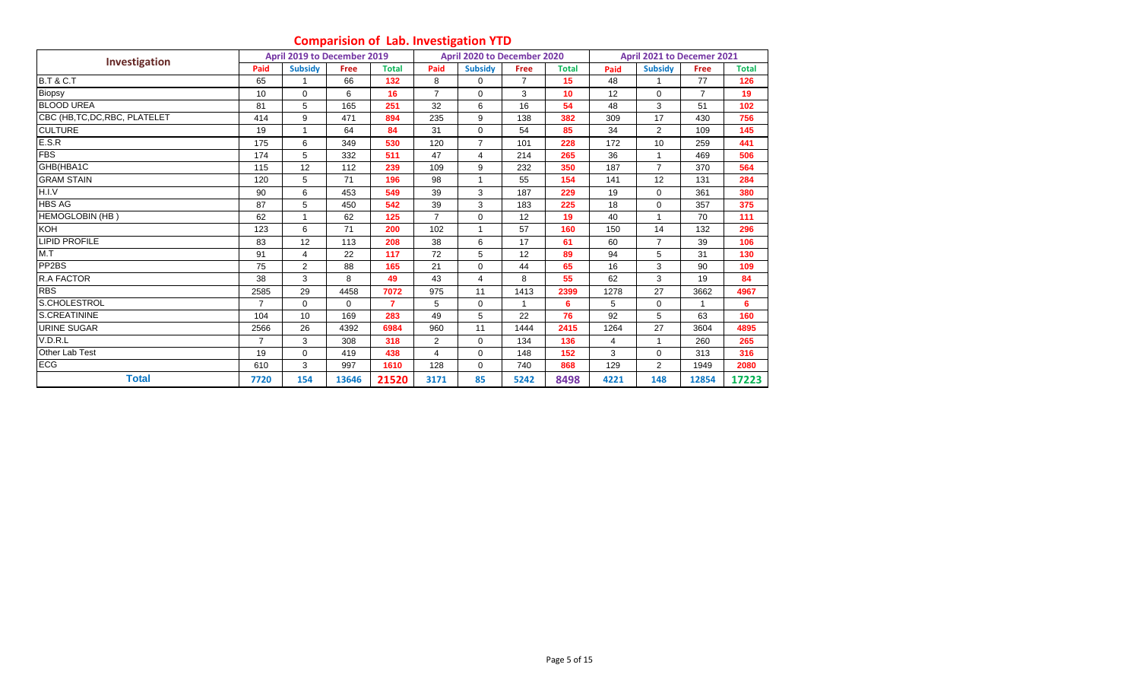## **Comparision of Lab. Investigation YTD**

|                                |                | April 2019 to December 2019 |             |                |                | April 2020 to December 2020 |                |              |                | April 2021 to Decemer 2021 |             |              |
|--------------------------------|----------------|-----------------------------|-------------|----------------|----------------|-----------------------------|----------------|--------------|----------------|----------------------------|-------------|--------------|
| Investigation                  | Paid           | <b>Subsidy</b>              | <b>Free</b> | <b>Total</b>   | Paid           | <b>Subsidy</b>              | Free           | <b>Total</b> | Paid           | <b>Subsidy</b>             | <b>Free</b> | <b>Total</b> |
| <b>B.T &amp; C.T</b>           | 65             |                             | 66          | 132            | 8              | $\Omega$                    | $\overline{7}$ | 15           | 48             |                            | 77          | 126          |
| Biopsy                         | 10             | $\mathbf 0$                 | 6           | 16             | $\overline{7}$ | $\mathbf 0$                 | 3              | 10           | 12             | $\mathbf 0$                | 7           | 19           |
| <b>BLOOD UREA</b>              | 81             | 5                           | 165         | 251            | 32             | 6                           | 16             | 54           | 48             | 3                          | 51          | 102          |
| CBC (HB, TC, DC, RBC, PLATELET | 414            | 9                           | 471         | 894            | 235            | 9                           | 138            | 382          | 309            | 17                         | 430         | 756          |
| <b>CULTURE</b>                 | 19             | 1                           | 64          | 84             | 31             | $\mathbf 0$                 | 54             | 85           | 34             | 2                          | 109         | 145          |
| E.S.R                          | 175            | 6                           | 349         | 530            | 120            | $\overline{7}$              | 101            | 228          | 172            | 10                         | 259         | 441          |
| <b>FBS</b>                     | 174            | 5                           | 332         | 511            | 47             | $\overline{\mathbf{4}}$     | 214            | 265          | 36             | $\overline{1}$             | 469         | 506          |
| GHB(HBA1C                      | 115            | 12                          | 112         | 239            | 109            | 9                           | 232            | 350          | 187            | $\overline{7}$             | 370         | 564          |
| <b>GRAM STAIN</b>              | 120            | 5                           | 71          | 196            | 98             |                             | 55             | 154          | 141            | 12                         | 131         | 284          |
| H.I.V                          | 90             | 6                           | 453         | 549            | 39             | 3                           | 187            | 229          | 19             | $\Omega$                   | 361         | 380          |
| <b>HBS AG</b>                  | 87             | 5                           | 450         | 542            | 39             | 3                           | 183            | 225          | 18             | $\mathbf 0$                | 357         | 375          |
| HEMOGLOBIN (HB)                | 62             |                             | 62          | 125            | 7              | $\mathbf 0$                 | 12             | 19           | 40             |                            | 70          | 111          |
| KOH                            | 123            | 6                           | 71          | 200            | 102            | 1                           | 57             | 160          | 150            | 14                         | 132         | 296          |
| <b>LIPID PROFILE</b>           | 83             | 12                          | 113         | 208            | 38             | 6                           | 17             | 61           | 60             | $\overline{7}$             | 39          | 106          |
| M.T                            | 91             | 4                           | 22          | 117            | 72             | 5                           | 12             | 89           | 94             | 5                          | 31          | 130          |
| PP2BS                          | 75             | 2                           | 88          | 165            | 21             | $\mathbf 0$                 | 44             | 65           | 16             | 3                          | 90          | 109          |
| R.A FACTOR                     | 38             | 3                           | 8           | 49             | 43             | 4                           | 8              | 55           | 62             | 3                          | 19          | 84           |
| <b>RBS</b>                     | 2585           | 29                          | 4458        | 7072           | 975            | 11                          | 1413           | 2399         | 1278           | 27                         | 3662        | 4967         |
| S.CHOLESTROL                   | 7              | $\mathbf 0$                 | $\Omega$    | $\overline{7}$ | 5              | $\mathbf 0$                 |                | 6            | 5              | $\mathbf 0$                |             | 6            |
| S.CREATININE                   | 104            | 10                          | 169         | 283            | 49             | 5                           | 22             | 76           | 92             | 5                          | 63          | 160          |
| <b>URINE SUGAR</b>             | 2566           | 26                          | 4392        | 6984           | 960            | 11                          | 1444           | 2415         | 1264           | 27                         | 3604        | 4895         |
| V.D.R.L                        | $\overline{7}$ | 3                           | 308         | 318            | $\overline{2}$ | $\mathbf 0$                 | 134            | 136          | $\overline{4}$ | 1                          | 260         | 265          |
| Other Lab Test                 | 19             | $\Omega$                    | 419         | 438            | 4              | $\Omega$                    | 148            | 152          | 3              | $\Omega$                   | 313         | 316          |
| <b>ECG</b>                     | 610            | 3                           | 997         | 1610           | 128            | $\mathbf 0$                 | 740            | 868          | 129            | $\overline{2}$             | 1949        | 2080         |
| <b>Total</b>                   | 7720           | 154                         | 13646       | 21520          | 3171           | 85                          | 5242           | 8498         | 4221           | 148                        | 12854       | 17223        |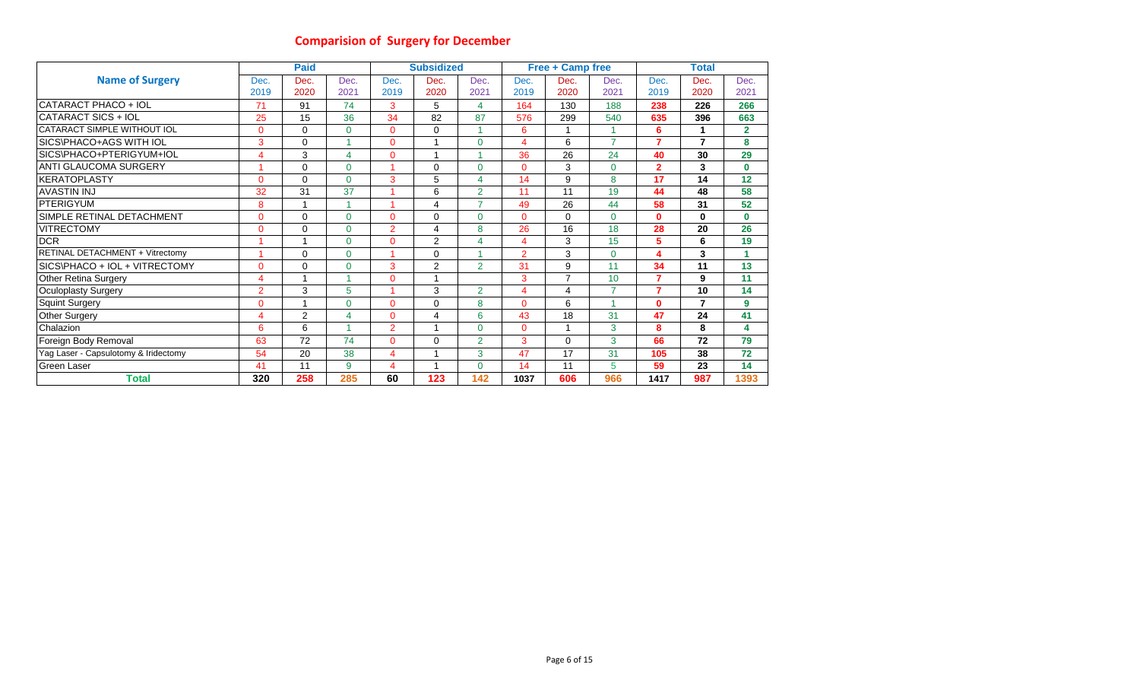## **Comparision of Surgery for December**

|                                      |                | <b>Paid</b> |             |                | <b>Subsidized</b> |                |                       | <b>Free + Camp free</b> |                |                | <b>Total</b>   |                |
|--------------------------------------|----------------|-------------|-------------|----------------|-------------------|----------------|-----------------------|-------------------------|----------------|----------------|----------------|----------------|
| <b>Name of Surgery</b>               | Dec.           | Dec.        | Dec.        | Dec.           | Dec.              | Dec.           | Dec.                  | Dec.                    | Dec.           | Dec.           | Dec.           | Dec.           |
|                                      | 2019           | 2020        | 2021        | 2019           | 2020              | 2021           | 2019                  | 2020                    | 2021           | 2019           | 2020           | 2021           |
| CATARACT PHACO + IOL                 | 71             | 91          | 74          | 3              | 5                 | 4              | 164                   | 130                     | 188            | 238            | 226            | 266            |
| CATARACT SICS + IOL                  | 25             | 15          | 36          | 34             | 82                | 87             | 576                   | 299                     | 540            | 635            | 396            | 663            |
| CATARACT SIMPLE WITHOUT IOL          | 0              | $\mathbf 0$ | $\mathbf 0$ | $\overline{0}$ | $\Omega$          |                | 6                     |                         |                | 6              |                | $\overline{2}$ |
| SICS\PHACO+AGS WITH IOL              | 3              | $\Omega$    |             | $\mathbf{0}$   |                   | $\Omega$       | $\boldsymbol{\Delta}$ | 6                       | $\overline{z}$ | $\overline{7}$ | $\overline{7}$ | 8              |
| SICS\PHACO+PTERIGYUM+IOL             | 4              | 3           | 4           | $\mathbf{0}$   |                   | и              | 36                    | 26                      | 24             | 40             | 30             | 29             |
| <b>ANTI GLAUCOMA SURGERY</b>         | 1              | $\Omega$    | $\Omega$    |                | $\Omega$          | $\Omega$       | $\Omega$              | 3                       | $\Omega$       | $\overline{2}$ | 3              | $\bf{0}$       |
| IKERATOPLASTY                        | 0              | $\Omega$    | $\Omega$    | 3              | 5                 | 4              | 14                    | 9                       | 8              | 17             | 14             | 12             |
| <b>AVASTIN INJ</b>                   | 32             | 31          | 37          |                | 6                 | $\overline{2}$ | 11                    | 11                      | 19             | 44             | 48             | 58             |
| <b>PTERIGYUM</b>                     | 8              |             |             |                | 4                 | $\overline{7}$ | 49                    | 26                      | 44             | 58             | 31             | 52             |
| SIMPLE RETINAL DETACHMENT            | 0              | $\Omega$    | $\Omega$    | $\mathbf{0}$   | $\Omega$          | $\Omega$       | $\Omega$              | $\Omega$                | $\Omega$       | $\mathbf 0$    | $\mathbf{0}$   | $\bf{0}$       |
| <b>VITRECTOMY</b>                    | 0              | $\Omega$    | $\Omega$    | $\overline{2}$ | 4                 | 8              | 26                    | 16                      | 18             | 28             | 20             | 26             |
| <b>DCR</b>                           |                |             | $\Omega$    | 0              | 2                 | 4              | 4                     | 3                       | 15             | 5              | 6              | 19             |
| RETINAL DETACHMENT + Vitrectomy      |                | 0           | $\mathbf 0$ |                | $\Omega$          |                | $\overline{2}$        | 3                       | $\Omega$       | 4              | 3              | 1              |
| SICS\PHACO + IOL + VITRECTOMY        | 0              | $\Omega$    | $\Omega$    | 3              | 2                 | $\overline{2}$ | 31                    | 9                       | 11             | 34             | 11             | 13             |
| <b>Other Retina Surgery</b>          | 4              | ٠           |             | $\Omega$       |                   |                | 3                     | $\overline{7}$          | 10             | $\overline{7}$ | 9              | 11             |
| Oculoplasty Surgery                  | $\overline{2}$ | 3           | 5           |                | 3                 | $\overline{2}$ | 4                     | 4                       | $\overline{z}$ | $\overline{7}$ | 10             | 14             |
| <b>Squint Surgery</b>                | 0              | и           | $\Omega$    | $\Omega$       | $\Omega$          | 8              | $\Omega$              | 6                       |                | $\bf{0}$       | $\overline{ }$ | 9              |
| <b>Other Surgery</b>                 | 4              | 2           | 4           | $\mathbf{0}$   | 4                 | 6              | 43                    | 18                      | 31             | 47             | 24             | 41             |
| Chalazion                            | 6              | 6           |             | 2              |                   | $\Omega$       | 0                     | $\overline{\mathbf{A}}$ | 3              | 8              | 8              | 4              |
| Foreign Body Removal                 | 63             | 72          | 74          | $\mathbf{0}$   | $\Omega$          | $\overline{2}$ | 3                     | 0                       | 3              | 66             | 72             | 79             |
| Yag Laser - Capsulotomy & Iridectomy | 54             | 20          | 38          | $\overline{4}$ |                   | 3              | 47                    | 17                      | 31             | 105            | 38             | 72             |
| <b>Green Laser</b>                   | 41             | 11          | 9           | $\overline{4}$ |                   | $\Omega$       | 14                    | 11                      | 5              | 59             | 23             | 14             |
| <b>Total</b>                         | 320            | 258         | 285         | 60             | 123               | 142            | 1037                  | 606                     | 966            | 1417           | 987            | 1393           |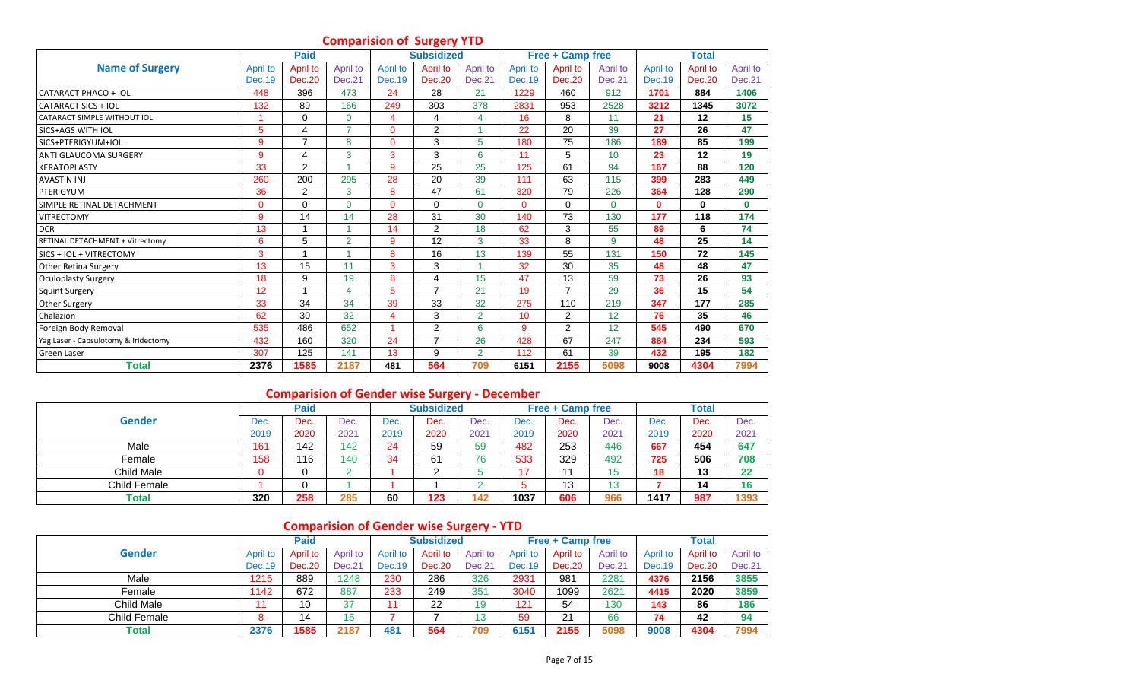## **Comparision of Surgery YTD**

|                                      |               | <b>Paid</b>    |                |                | - -<br><b>Subsidized</b> |                |               | Free + Camp free |          |          | <b>Total</b>  |          |
|--------------------------------------|---------------|----------------|----------------|----------------|--------------------------|----------------|---------------|------------------|----------|----------|---------------|----------|
| <b>Name of Surgery</b>               | April to      | April to       | April to       | April to       | April to                 | April to       | April to      | April to         | April to | April to | April to      | April to |
|                                      | <b>Dec.19</b> | <b>Dec.20</b>  | Dec.21         | Dec.19         | <b>Dec.20</b>            | Dec.21         | <b>Dec.19</b> | <b>Dec.20</b>    | Dec.21   | Dec. 19  | <b>Dec.20</b> | Dec.21   |
| CATARACT PHACO + IOL                 | 448           | 396            | 473            | 24             | 28                       | 21             | 1229          | 460              | 912      | 1701     | 884           | 1406     |
| <b>CATARACT SICS + IOL</b>           | 132           | 89             | 166            | 249            | 303                      | 378            | 2831          | 953              | 2528     | 3212     | 1345          | 3072     |
| CATARACT SIMPLE WITHOUT IOL          |               | $\Omega$       | 0              | 4              | 4                        | 4              | 16            | 8                | 11       | 21       | 12            | 15       |
| <b>SICS+AGS WITH IOL</b>             | 5             | 4              | 7              | $\mathbf{0}$   | $\overline{2}$           |                | 22            | 20               | 39       | 27       | 26            | 47       |
| SICS+PTERIGYUM+IOL                   | 9             | $\overline{7}$ | 8              | $\mathbf{0}$   | 3                        | 5              | 180           | 75               | 186      | 189      | 85            | 199      |
| ANTI GLAUCOMA SURGERY                | 9             | 4              | 3              | 3              | 3                        | 6              | 11            | 5                | 10       | 23       | 12            | 19       |
| <b>KERATOPLASTY</b>                  | 33            | $\overline{2}$ |                | $\overline{9}$ | 25                       | 25             | 125           | 61               | 94       | 167      | 88            | 120      |
| <b>AVASTIN INJ</b>                   | 260           | 200            | 295            | 28             | 20                       | 39             | 111           | 63               | 115      | 399      | 283           | 449      |
| PTERIGYUM                            | 36            | $\overline{2}$ | 3              | 8              | 47                       | 61             | 320           | 79               | 226      | 364      | 128           | 290      |
| SIMPLE RETINAL DETACHMENT            | 0             | $\Omega$       | 0              | $\mathbf{0}$   | $\Omega$                 | $\Omega$       | 0             | $\mathbf 0$      | $\Omega$ | $\bf{0}$ | $\mathbf{0}$  | $\bf{0}$ |
| <b>VITRECTOMY</b>                    | 9             | 14             | 14             | 28             | 31                       | 30             | 140           | 73               | 130      | 177      | 118           | 174      |
| <b>DCR</b>                           | 13            |                |                | 14             | $\overline{2}$           | 18             | 62            | 3                | 55       | 89       | 6             | 74       |
| RETINAL DETACHMENT + Vitrectomy      | 6             | 5              | $\overline{2}$ | 9              | 12                       | 3              | 33            | 8                | 9        | 48       | 25            | 14       |
| SICS + IOL + VITRECTOMY              | 3             | 1              |                | 8              | 16                       | 13             | 139           | 55               | 131      | 150      | 72            | 145      |
| Other Retina Surgery                 | 13            | 15             | 11             | 3              | 3                        | -1             | 32            | 30               | 35       | 48       | 48            | 47       |
| <b>Oculoplasty Surgery</b>           | 18            | 9              | 19             | 8              | 4                        | 15             | 47            | 13               | 59       | 73       | 26            | 93       |
| <b>Squint Surgery</b>                | 12            |                | 4              | 5              | $\overline{ }$           | 21             | 19            | $\overline{7}$   | 29       | 36       | 15            | 54       |
| Other Surgery                        | 33            | 34             | 34             | 39             | 33                       | 32             | 275           | 110              | 219      | 347      | 177           | 285      |
| Chalazion                            | 62            | 30             | 32             | $\overline{4}$ | 3                        | $\overline{2}$ | 10            | 2                | 12       | 76       | 35            | 46       |
| Foreign Body Removal                 | 535           | 486            | 652            | 1              | 2                        | 6              | 9             | $\overline{2}$   | 12       | 545      | 490           | 670      |
| Yag Laser - Capsulotomy & Iridectomy | 432           | 160            | 320            | 24             | $\overline{7}$           | 26             | 428           | 67               | 247      | 884      | 234           | 593      |
| <b>Green Laser</b>                   | 307           | 125            | 141            | 13             | 9                        | $\overline{2}$ | 112           | 61               | 39       | 432      | 195           | 182      |
| <b>Total</b>                         | 2376          | 1585           | 2187           | 481            | 564                      | 709            | 6151          | 2155             | 5098     | 9008     | 4304          | 7994     |

## **Comparision of Gender wise Surgery - December**

|               |      | <b>Paid</b> |      |      | <b>Subsidized</b> |      |      | <b>Free + Camp free</b> |                 |      | <b>Total</b> |      |
|---------------|------|-------------|------|------|-------------------|------|------|-------------------------|-----------------|------|--------------|------|
| <b>Gender</b> | Dec. | Dec.        | Dec. | Dec. | Dec.              | Dec. | Dec. | Dec.                    | Dec.            | Dec. | Dec.         | Dec. |
|               | 2019 | 2020        | 2021 | 2019 | 2020              | 2021 | 2019 | 2020                    | 2021            | 2019 | 2020         | 2021 |
| Male          | 161  | 142         | 142  | 24   | 59                | 59   | 482  | 253                     | 446             | 667  | 454          | 647  |
| Female        | 158  | 116         | 140  | 34   | 61                | 76   | 533  | 329                     | 492             | 725  | 506          | 708  |
| Child Male    |      |             |      |      |                   |      |      | 44                      | ィニ              | 18   | 13           | 22   |
| Child Female  |      |             |      |      |                   |      |      | 13                      | $\sqrt{2}$<br>w |      | 14           | 16   |
| Total         | 320  | 258         | 285  | 60   | 123               | 142  | 1037 | 606                     | 966             | 1417 | 987          | 1393 |

# **Comparision of Gender wise Surgery - YTD**

|               |          | <b>Paid</b> |          |               | <b>Subsidized</b> |          |          | <b>Free + Camp free</b> |               |          | <b>Total</b> |          |
|---------------|----------|-------------|----------|---------------|-------------------|----------|----------|-------------------------|---------------|----------|--------------|----------|
| <b>Gender</b> | April to | April to    | April to | April to      | April to          | April to | April to | April to                | April to      | April to | April to     | April to |
|               | Dec. 19  | Dec.20      | Dec.21   | <b>Dec.19</b> | Dec.20            | Dec.21   | Dec. 19  | <b>Dec.20</b>           | Dec.21        | Dec. 19  | Dec.20       | Dec.21   |
| Male          | 1215     | 889         | 1248     | 230           | 286               | 326      | 2931     | 981                     | 2281          | 4376     | 2156         | 3855     |
| Female        | 1142     | 672         | 887      | 233           | 249               | 351      | 3040     | 1099                    | $262^{\circ}$ | 4415     | 2020         | 3859     |
| Child Male    |          | 10          | 37       | 11            | 22                | 19       | 121      | 54                      | 130           | 143      | 86           | 186      |
| Child Female  |          | 14          | 15       |               |                   | 13       | 59       | 21                      | 66            | 74       | 42           | 94       |
| Total         | 2376     | 1585        | 2187     | 481           | 564               | 709      | 6151     | 2155                    | 5098          | 9008     | 4304         | 7994     |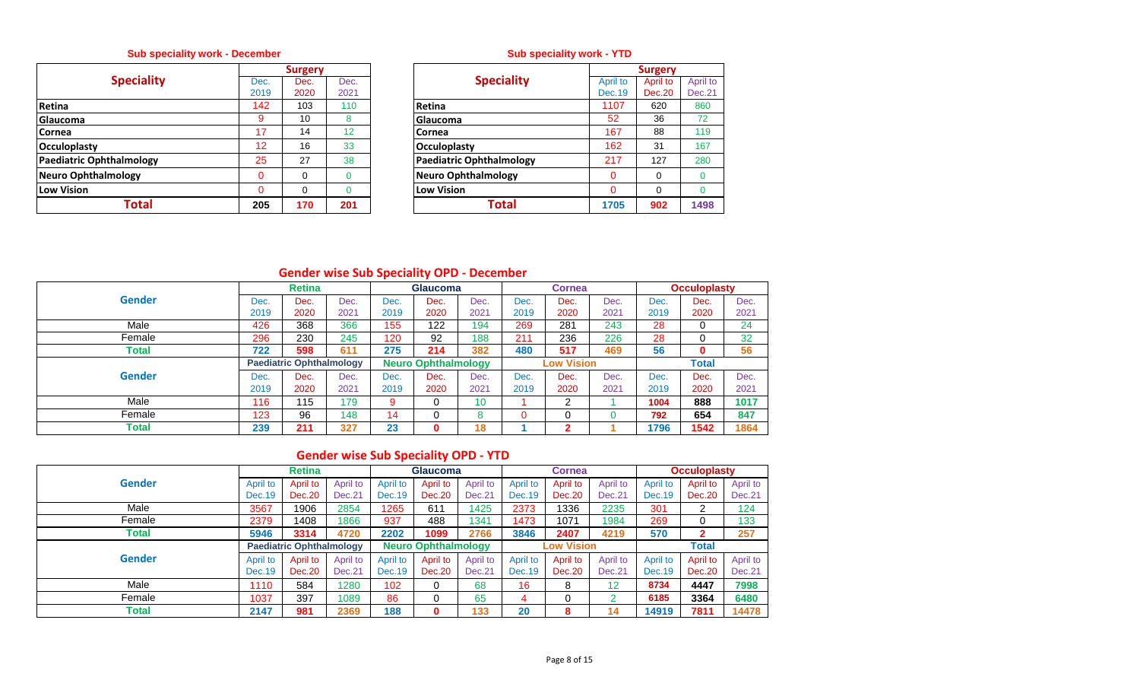## **Sub speciality work - December**

|                                 |          | <b>Surgery</b> |      |                                 |
|---------------------------------|----------|----------------|------|---------------------------------|
| <b>Speciality</b>               | Dec.     | Dec.           | Dec. | <b>Speciality</b>               |
|                                 | 2019     | 2020           | 2021 |                                 |
| Retina                          | 142      | 103            | 110  | Retina                          |
| <b>Glaucoma</b>                 | 9        | 10             | 8    | Glaucoma                        |
| <b>Cornea</b>                   | 17       | 14             | 12   | <b>Cornea</b>                   |
| <b>Occuloplasty</b>             | 12       | 16             | 33   | Occuloplasty                    |
| <b>Paediatric Ophthalmology</b> | 25       | 27             | 38   | <b>Paediatric Ophthalmology</b> |
| <b>Neuro Ophthalmology</b>      | $\Omega$ | 0              | 0    | <b>Neuro Ophthalmology</b>      |
| Low Vision                      |          | $\Omega$       |      | <b>Low Vision</b>               |
| Total                           | 205      | 170            | 201  | <b>Total</b>                    |

## **Sub speciality work - YTD**

|                | <b>Surgery</b> |          |                                 |          | <b>Surgery</b> |          |
|----------------|----------------|----------|---------------------------------|----------|----------------|----------|
| Dec.           | Dec.           | Dec.     | <b>Speciality</b>               | April to | April to       | April to |
| 2019           | 2020           | 2021     |                                 | Dec. 19  | Dec.20         | Dec.21   |
| 142            | 103            | 110      | <b>Retina</b>                   | 1107     | 620            | 860      |
| 9              | 10             | 8        | Glaucoma                        | 52       | 36             | 72       |
| 17             | 14             | 12       | <b>Cornea</b>                   | 167      | 88             | 119      |
| 12             | 16             | 33       | <b>Occuloplasty</b>             | 162      | 31             | 167      |
| 25             | 27             | 38       | <b>Paediatric Ophthalmology</b> | 217      | 127            | 280      |
| $\overline{0}$ | 0              |          | <b>Neuro Ophthalmology</b>      | 0        | 0              | $\Omega$ |
| $\Omega$       | 0              | $\Omega$ | <b>Low Vision</b>               | $\Omega$ | $\Omega$       | $\Omega$ |
| 205            | 170            | 201      | <b>Total</b>                    | 1705     | 902            | 1498     |

## **Gender wise Sub Speciality OPD - December**

|               |      | <b>Retina</b>                   |      |      | <b>Glaucoma</b>            |      |      | <b>Cornea</b>     |      |      | <b>Occuloplasty</b> |      |
|---------------|------|---------------------------------|------|------|----------------------------|------|------|-------------------|------|------|---------------------|------|
| <b>Gender</b> | Dec. | Dec.                            | Dec. | Dec. | Dec.                       | Dec. | Dec. | Dec.              | Dec. | Dec. | Dec.                | Dec. |
|               | 2019 | 2020                            | 2021 | 2019 | 2020                       | 2021 | 2019 | 2020              | 2021 | 2019 | 2020                | 2021 |
| Male          | 426  | 368                             | 366  | 155  | 122                        | 194  | 269  | 281               | 243  | 28   | 0                   | 24   |
| Female        | 296  | 230                             | 245  | 120  | 92                         | 188  | 211  | 236               | 226  | 28   | 0                   | 32   |
| Total         | 722  | 598                             | 611  | 275  | 214                        | 382  | 480  | 517               | 469  | 56   | 0                   | 56   |
|               |      | <b>Paediatric Ophthalmology</b> |      |      | <b>Neuro Ophthalmology</b> |      |      | <b>Low Vision</b> |      |      | <b>Total</b>        |      |
| <b>Gender</b> | Dec. | Dec.                            | Dec. | Dec. | Dec.                       | Dec. | Dec. | Dec.              | Dec. | Dec. | Dec.                | Dec. |
|               | 2019 | 2020                            | 2021 | 2019 | 2020                       | 2021 | 2019 | 2020              | 2021 | 2019 | 2020                | 2021 |
| Male          | 116  | 115                             | 179  | 9    | 0                          | 10   |      | ົ                 |      | 1004 | 888                 | 1017 |
| Female        | 123  | 96                              | 148  | 14   | 0                          | o    |      | 0                 |      | 792  | 654                 | 847  |
| Total         | 239  | 211                             | 327  | 23   | 0                          | 18   |      | ◠                 |      | 1796 | 1542                | 1864 |

## **Gender wise Sub Speciality OPD - YTD**

|               |          | <b>Retina</b>                   |          |          | <b>Glaucoma</b>            |          |          | <b>Cornea</b>     |          |               | <b>Occuloplasty</b> |          |
|---------------|----------|---------------------------------|----------|----------|----------------------------|----------|----------|-------------------|----------|---------------|---------------------|----------|
| <b>Gender</b> | April to | April to                        | April to | April to | April to                   | April to | April to | April to          | April to | April to      | April to            | April to |
|               | Dec. 19  | Dec.20                          | Dec.21   | Dec.19   | Dec.20                     | Dec.21   | Dec. 19  | <b>Dec.20</b>     | Dec.21   | <b>Dec.19</b> | Dec.20              | Dec.21   |
| Male          | 3567     | 1906                            | 2854     | 1265     | 611                        | 1425     | 2373     | 336               | 2235     | 301           | 2                   | 124      |
| Female        | 2379     | 1408                            | 1866     | 937      | 488                        | 1341     | 1473     | 1071              | 1984     | 269           | 0                   | 133      |
| Total         | 5946     | 3314                            | 4720     | 2202     | 1099                       | 2766     | 3846     | 2407              | 4219     | 570           | $\mathbf{2}$        | 257      |
|               |          | <b>Paediatric Ophthalmology</b> |          |          | <b>Neuro Ophthalmology</b> |          |          | <b>Low Vision</b> |          |               | <b>Total</b>        |          |
| <b>Gender</b> | April to | April to                        | April to | April to | April to                   | April to | April to | April to          | April to | April to      | April to            | April to |
|               | Dec. 19  | Dec. 20                         | Dec.21   | Dec. 19  | Dec.20                     | Dec.21   | Dec. 19  | <b>Dec.20</b>     | Dec.21   | <b>Dec.19</b> | Dec.20              | Dec.21   |
| Male          | 1110     | 584                             | 1280     | 102      |                            | 68       | 16       | 8                 | 12       | 8734          | 4447                | 7998     |
| Female        | 1037     | 397                             | 1089     | 86       |                            | 65       | 4        |                   |          | 6185          | 3364                | 6480     |
| Total         | 2147     | 981                             | 2369     | 188      |                            | 133      | 20       | 8                 | 14       | 14919         | 7811                | 14478    |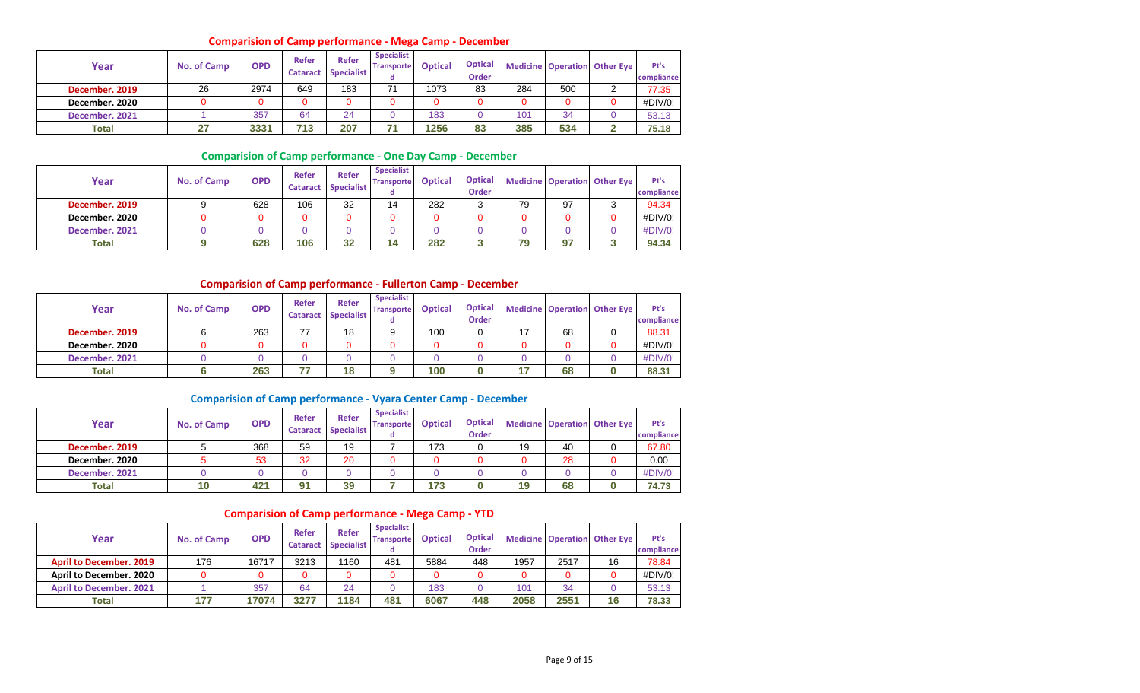#### **Comparision of Camp performance - Mega Camp - December**

| Year           | <b>No. of Camp</b> | <b>OPD</b> | <b>Refer</b><br><b>Cataract</b> | <b>Refer</b><br><b>Specialist</b> | <b>Specialist</b><br><b>Transporte</b> | <b>Optical</b> | <b>Optical</b><br><b>Order</b> |     |     | <b>Medicine Operation Other Eye</b> | Pt's<br>compliance |
|----------------|--------------------|------------|---------------------------------|-----------------------------------|----------------------------------------|----------------|--------------------------------|-----|-----|-------------------------------------|--------------------|
| December. 2019 | 26                 | 2974       | 649                             | 183                               | 71                                     | 1073           | 83                             | 284 | 500 |                                     | 77.35              |
| December, 2020 |                    |            |                                 |                                   |                                        | 0              |                                |     |     |                                     | #DIV/0!            |
| December. 2021 |                    | 357        | 64                              | 24                                |                                        | 183            |                                | 101 | 34  |                                     | 53.13              |
| <b>Total</b>   | 27                 | 3331       | 713                             | 207                               |                                        | 1256           | 83                             | 385 | 534 |                                     | 75.18              |

#### **Comparision of Camp performance - One Day Camp - December**

| Year           | No. of Camp | <b>OPD</b> | Refer<br><b>Cataract</b> | <b>Refer</b><br><b>Specialist</b> | <b>Specialist</b><br><b>Transporte</b><br>α | <b>Optical</b> | <b>Optical</b><br><b>Order</b> |    |    | <b>Medicine Operation Other Eye</b> | Pt's<br>compliance |
|----------------|-------------|------------|--------------------------|-----------------------------------|---------------------------------------------|----------------|--------------------------------|----|----|-------------------------------------|--------------------|
| December, 2019 |             | 628        | 106                      | 32                                | 14                                          | 282            |                                | 79 | 97 |                                     | 94.34              |
| December, 2020 |             | 0          |                          |                                   |                                             |                |                                |    |    |                                     | #DIV/0!            |
| December. 2021 |             |            |                          |                                   |                                             |                |                                |    |    |                                     | #DIV/0!            |
| <b>Total</b>   |             | 628        | 106                      | 32                                | 14                                          | 282            |                                | 79 | 97 |                                     | 94.34              |

#### **Comparision of Camp performance - Fullerton Camp - December**

| Year           | No. of Camp | <b>OPD</b> | Refer<br><b>Cataract</b> | <b>Refer</b><br><b>Specialist</b> | <b>Specialist</b><br><b>Transporte</b> | <b>Optical</b> | <b>Optical</b><br><b>Order</b> |    | <b>Medicine Operation Other Eye</b> | Pt's<br>compliance |
|----------------|-------------|------------|--------------------------|-----------------------------------|----------------------------------------|----------------|--------------------------------|----|-------------------------------------|--------------------|
| December. 2019 |             | 263        |                          | 18                                |                                        | 100            |                                | 68 |                                     | 88.31              |
| December, 2020 |             |            |                          | 0                                 |                                        |                |                                |    |                                     | #DIV/0!            |
| December, 2021 |             |            |                          |                                   |                                        |                |                                |    |                                     | #DIV/0!            |
| Total          |             | 263        | – <b>–</b>               | 18                                |                                        | 100            |                                | 68 |                                     | 88.31              |

#### **Comparision of Camp performance - Vyara Center Camp - December**

| Year           | No. of Camp | <b>OPD</b> | Refer<br><b>Cataract</b> | <b>Refer</b><br><b>Specialist</b> | <b>Specialist</b><br><b>Transporte</b> | <b>Optical</b> | <b>Optical</b><br><b>Order</b> |    |    | Medicine Operation Other Eye | Pt's<br>compliance |
|----------------|-------------|------------|--------------------------|-----------------------------------|----------------------------------------|----------------|--------------------------------|----|----|------------------------------|--------------------|
| December. 2019 |             | 368        | 59                       | 19                                |                                        | 173            |                                | 19 | 40 |                              | 67.80              |
| December, 2020 |             | 53         | 32                       | 20                                |                                        |                |                                |    | 28 |                              | 0.00               |
| December, 2021 |             |            |                          | 0                                 |                                        |                |                                |    |    |                              | #DIV/0!            |
| <b>Total</b>   |             | 421        | 91                       | 39                                |                                        | 173            |                                | 19 | 68 |                              | 74.73              |

#### **Comparision of Camp performance - Mega Camp - YTD**

| Year                           | No. of Camp | <b>OPD</b> | <b>Refer</b><br><b>Cataract</b> | Refer<br><b>Specialist</b> | <b>Specialist</b><br><b>Transporte</b> | <b>Optical</b> | <b>Optical</b><br><b>Order</b> |      |      | <b>Medicine Operation Other Eye</b> | Pt's<br>compliance |
|--------------------------------|-------------|------------|---------------------------------|----------------------------|----------------------------------------|----------------|--------------------------------|------|------|-------------------------------------|--------------------|
| <b>April to December, 2019</b> | 176         | 16717      | 3213                            | 1160                       | 481                                    | 5884           | 448                            | 1957 | 2517 | 16                                  | 78.84              |
| <b>April to December, 2020</b> |             | 0          |                                 |                            |                                        |                |                                |      |      |                                     | #DIV/0!            |
| <b>April to December, 2021</b> |             | 357        | 64                              | 24                         |                                        | 183            |                                | 101  | 34   |                                     | 53.13              |
| Total                          | 177         | 17074      | 3277                            | 1184                       | 481                                    | 6067           | 448                            | 2058 | 2551 | 16                                  | 78.33              |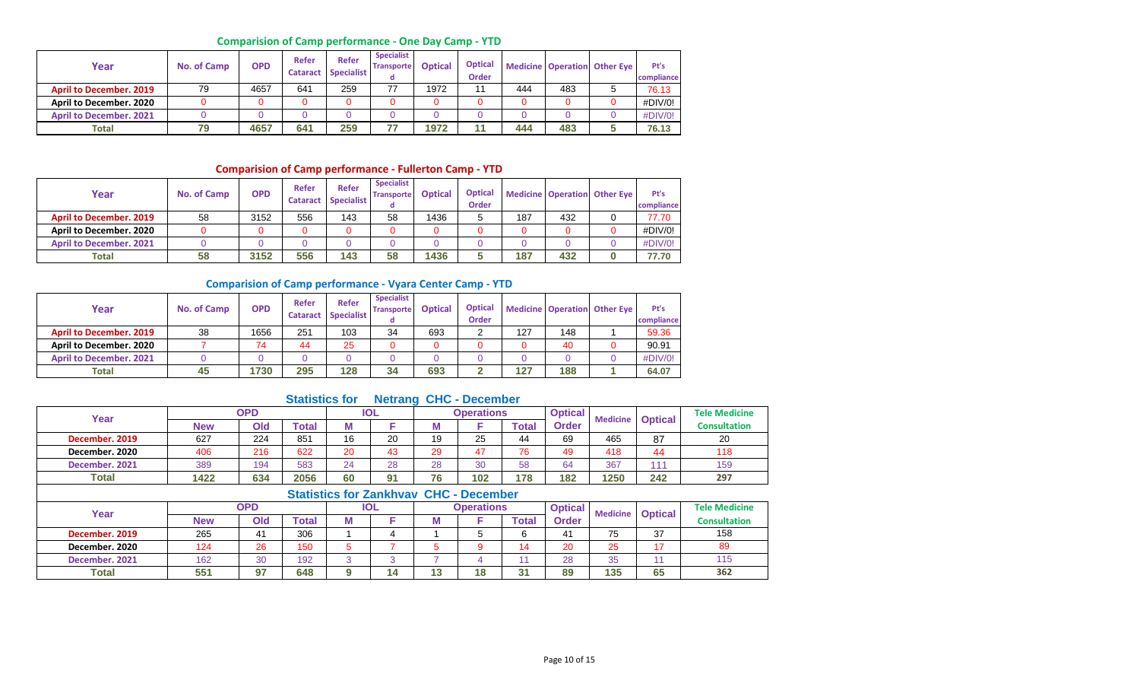## **Comparision of Camp performance - One Day Camp - YTD**

| Year                           | No. of Camp | <b>OPD</b> | Refer<br><b>Cataract</b> | <b>Refer</b><br><b>Specialist</b> | <b>Specialist</b><br><b>Transporte</b> | <b>Optical</b> | <b>Optical</b><br>Order |     |     | <b>Medicine Operation Other Eye</b> | Pt's<br>compliance |
|--------------------------------|-------------|------------|--------------------------|-----------------------------------|----------------------------------------|----------------|-------------------------|-----|-----|-------------------------------------|--------------------|
| <b>April to December, 2019</b> | 79          | 4657       | 641                      | 259                               | 77                                     | 1972           | 11                      | 444 | 483 |                                     | 76.13              |
| April to December. 2020        |             |            |                          | 0                                 |                                        |                |                         |     |     |                                     | #DIV/0!            |
| <b>April to December, 2021</b> |             |            |                          |                                   |                                        |                |                         |     |     |                                     | #DIV/0!            |
| <b>Total</b>                   | 79          | 4657       | 641                      | 259                               | --                                     | 1972           |                         | 444 | 483 |                                     | 76.13              |

## **Comparision of Camp performance - Fullerton Camp - YTD**

| Year                           | No. of Camp | <b>OPD</b> | Refer<br><b>Cataract</b> | <b>Refer</b><br><b>Specialist</b> | <b>Specialist</b><br><b>Transporte</b> | <b>Optical</b> | <b>Optical</b><br><b>Order</b> |     |     | <b>Medicine Operation Other Eye</b> | Pt's<br>compliance |
|--------------------------------|-------------|------------|--------------------------|-----------------------------------|----------------------------------------|----------------|--------------------------------|-----|-----|-------------------------------------|--------------------|
| <b>April to December. 2019</b> | 58          | 3152       | 556                      | 143                               | 58                                     | 1436           |                                | 187 | 432 |                                     | 77.70              |
| April to December. 2020        |             |            |                          |                                   |                                        |                |                                |     |     |                                     | #DIV/0!            |
| <b>April to December, 2021</b> |             |            |                          |                                   |                                        |                |                                |     |     |                                     | #DIV/0!            |
| <b>Total</b>                   | 58          | 3152       | 556                      | 143                               | 58                                     | 1436           |                                | 187 | 432 |                                     | 77.70              |

#### **Comparision of Camp performance - Vyara Center Camp - YTD**

| Year                           | No. of Camp | <b>OPD</b> | Refer<br><b>Cataract</b> | Refer<br><b>Specialist</b> | <b>Specialist</b><br><b>Transporte</b> | <b>Optical</b> | <b>Optical</b><br><b>Order</b> |     |     | <b>Medicine Operation Other Eye</b> | Pt's<br>compliance |
|--------------------------------|-------------|------------|--------------------------|----------------------------|----------------------------------------|----------------|--------------------------------|-----|-----|-------------------------------------|--------------------|
| <b>April to December, 2019</b> | 38          | 1656       | 251                      | 103                        | 34                                     | 693            |                                | 127 | 148 |                                     | 59.36              |
| April to December. 2020        |             | 74         | 44                       | 25                         |                                        |                |                                |     | 40  |                                     | 90.91              |
| <b>April to December, 2021</b> |             |            |                          | 0                          |                                        |                |                                |     |     |                                     | #DIV/0!            |
| Total                          | 45          | 1730       | 295                      | 128                        | 34                                     | 693            |                                | 127 | 188 |                                     | 64.07              |

## **Statistics for Netrang CHC - December**

| Year           |            | <b>OPD</b> |       |    | <b>IOL</b>                          |    | <b>Operations</b> |       | <b>Optical</b> | <b>Medicine</b> | <b>Optical</b> | <b>Tele Medicine</b> |
|----------------|------------|------------|-------|----|-------------------------------------|----|-------------------|-------|----------------|-----------------|----------------|----------------------|
|                | <b>New</b> | Old        | Гоtal | М  |                                     |    |                   | Total | <b>Order</b>   |                 |                | <b>Consultation</b>  |
| December. 2019 | 627        | 224        | 851   | 16 | 20                                  | 19 | 25                | 44    | 69             | 465             | 87             | 20                   |
| December, 2020 | 406        | 216        | 622   | 20 | 43                                  | 29 | 47                | 76    | 49             | 418             | 44             | 118                  |
| December. 2021 | 389        | 194        | 583   | 24 | 28                                  | 28 | 30                | 58    | 64             | 367             | 444            | 159                  |
| Total          | 1422       | 634        | 2056  | 60 | 91                                  | 76 | 102               | 178   | 182            | 1250            | 242            | 297                  |
|                |            |            |       |    | Clatinian few Zankhymy CUC Denomber |    |                   |       |                |                 |                |                      |

|                |     |                |               |   |     |    | Statistics for Zankhyay CHC - December |       |                |     |                         |                      |
|----------------|-----|----------------|---------------|---|-----|----|----------------------------------------|-------|----------------|-----|-------------------------|----------------------|
| Year           |     | OPD            |               |   | IOL |    | <b>Operations</b>                      |       | <b>Optical</b> |     | <b>Medicine Optical</b> | <b>Tele Medicine</b> |
|                | New | Old            | <b>c</b> otal | w |     |    |                                        | Total | <b>Order</b>   |     |                         | <b>Consultation</b>  |
| December. 2019 | 265 | 4 <sup>1</sup> | 306           |   |     |    |                                        |       | 41             | 75  | 37                      | 158                  |
| December, 2020 | 124 | 26             | 150           |   |     |    |                                        |       | 20             | 25  |                         | 89                   |
| December. 2021 | 162 | 30             | 192           | ົ |     |    |                                        |       | 28             | 35  |                         | 115                  |
| <b>Total</b>   | 551 | 07             | 648           | ດ | 14  | 49 | 10<br>۱o                               | 31    | 89             | 135 | 65                      | 362                  |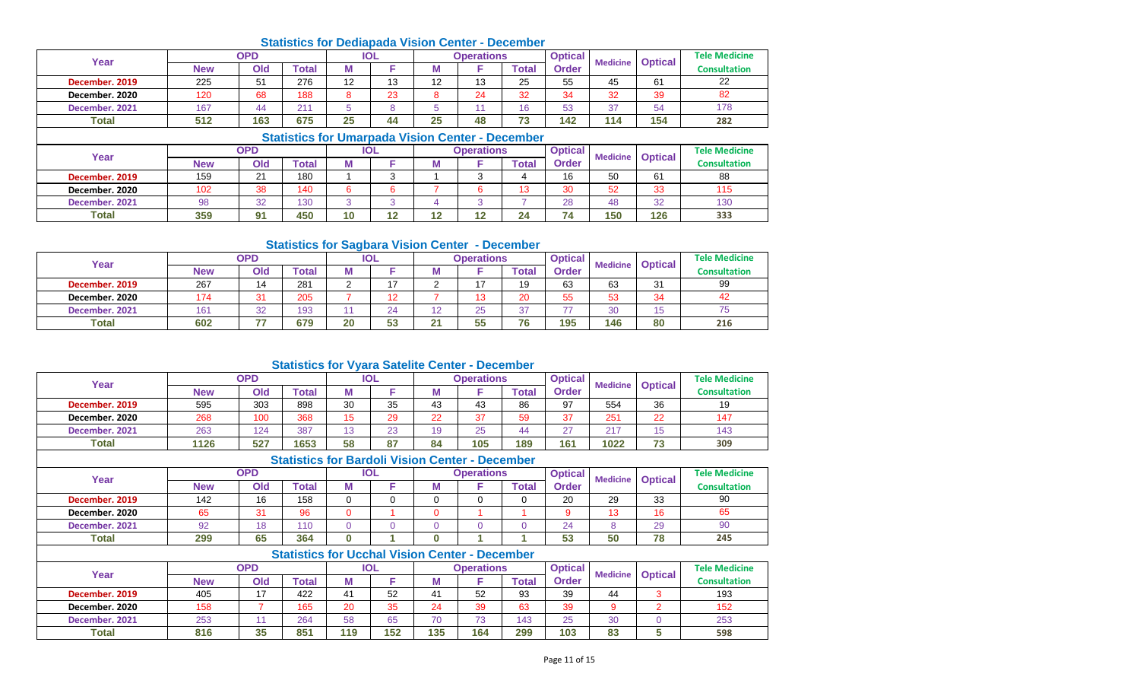#### **New Old Total M F M F Total December. 2019** 225 51 276 12 13 12 13 25 55 45 61 **December. 2020** 120 68 188 8 23 8 24 32 34 32 39 82 **December. 2021** | 167 | 44 | 211 | 5 | 8 | 5 | 11 | 16 | 53 | 37 | 54 **Total 512 163 675 25 44 25 48 73 142 114 154 Tele Medicine Consultation** 22 82 178 **282 Year OPD IOL Operations** Optical **Properations** Optical **Order Medicine Optical Statistics for Umarpada Vision Center - December Statistics for Dediapada Vision Center - December OPD IOL Operations**

|                |            |            | <u> Jiausucs IVI Uniarijaua Visivii Center - Deceniper</u> |    |            |     |                   |       |                |                 |                |                      |
|----------------|------------|------------|------------------------------------------------------------|----|------------|-----|-------------------|-------|----------------|-----------------|----------------|----------------------|
| Year           |            | <b>OPD</b> |                                                            |    | <b>IOL</b> |     | <b>Operations</b> |       | <b>Optical</b> | <b>Medicine</b> | <b>Optical</b> | <b>Tele Medicine</b> |
|                | <b>New</b> | Old        | Total                                                      |    |            |     |                   | Total | <b>Order</b>   |                 |                | <b>Consultation</b>  |
| December, 2019 | 159        | $\Omega$   | 180                                                        |    | ◠          |     |                   |       | 16             | 50              | 61             | 88                   |
| December. 2020 | 102        | 38         | 140                                                        |    | ◠<br>h     |     |                   | 13    | 30             | 52              | 33             | 115                  |
| December. 2021 | 98         | 32         | 130                                                        |    |            |     |                   |       | 28             | 48              | 32             | 130                  |
| <b>Total</b>   | 359        | 91         | 450                                                        | 10 | 12         | 4 O | 40                | 24    | 74             | 150             | 126            | 333                  |

#### **Statistics for Sagbara Vision Center - December**

| Year           |     | OPD                |       |    | IOL |    | Operations |              | <b>Optical</b> | <b>Medicine</b> | <b>Optical</b> | <b>Tele Medicine</b> |
|----------------|-----|--------------------|-------|----|-----|----|------------|--------------|----------------|-----------------|----------------|----------------------|
|                | New | Old                | `otal | Μ  |     | M  |            | <b>Total</b> | <b>Order</b>   |                 |                | <b>Consultation</b>  |
| December, 2019 | 267 | 14                 | 281   |    |     |    |            | 19           | 63             | 63              | 31             | 99                   |
| December, 2020 | 174 | $\mathbf{A}$<br>v. | 205   |    | 12  |    | 4 ^        | 20           | 55             | 53              | 34             | 42                   |
| December, 2021 | 161 | 32                 | 193   |    | 24  |    | 25         | 37           | ララ             | 30              | 1 L<br>◡       | 75                   |
| <b>Total</b>   | 602 | تصدقا              | 679   | 20 | 53  | 21 | 55         | 76           | 195            | 146             | 80             | 216                  |

## **Statistics for Vyara Satelite Center - December**

|                |            |            | <u> Januarus III </u>                                  |    |            |          |                   |       |                |                 |                |                      |
|----------------|------------|------------|--------------------------------------------------------|----|------------|----------|-------------------|-------|----------------|-----------------|----------------|----------------------|
| Year           |            | <b>OPD</b> |                                                        |    | <b>IOL</b> |          | <b>Operations</b> |       | <b>Optical</b> | <b>Medicine</b> |                | <b>Tele Medicine</b> |
|                | <b>New</b> | Old        | <b>Total</b>                                           | М  | F          | М        |                   | Total | <b>Order</b>   |                 | <b>Optical</b> | <b>Consultation</b>  |
| December. 2019 | 595        | 303        | 898                                                    | 30 | 35         | 43       | 43                | 86    | 97             | 554             | 36             | 19                   |
| December. 2020 | 268        | 100        | 368                                                    | 15 | 29         | 22       | 37                | 59    | 37             | 251             | 22             | 147                  |
| December, 2021 | 263        | 124        | 387                                                    | 13 | 23         | 19       | 25                | 44    | 27             | 217             | 15             | 143                  |
| Total          | 1126       | 527        | 1653                                                   | 58 | 87         | 84       | 105               | 189   | 161            | 1022            | 73             | 309                  |
|                |            |            | <b>Statistics for Bardoli Vision Center - December</b> |    |            |          |                   |       |                |                 |                |                      |
| Year           |            | <b>OPD</b> |                                                        |    | <b>IOL</b> |          | <b>Operations</b> |       | <b>Optical</b> | <b>Medicine</b> | <b>Optical</b> | <b>Tele Medicine</b> |
|                | <b>New</b> | Old        | Total                                                  | М  | F          | М        |                   | Total | <b>Order</b>   |                 |                | <b>Consultation</b>  |
| December, 2019 | 142        | 16         | 158                                                    |    | 0          | $\Omega$ | 0                 | 0     | 20             | 29              | 33             | 90                   |
| December, 2020 | 65         | 31         | 96                                                     | 0  |            | $\Omega$ |                   |       | 9              | 13              | 16             | 65                   |
| December. 2021 | 92         | 18         | 110                                                    | 0  | $\Omega$   | $\Omega$ |                   |       | 24             | 8               | 29             | 90                   |
| Total          | 299        | 65         | 364                                                    | 0  |            | $\bf{0}$ |                   |       | 53             | 50              | 78             | 245                  |

|                |            |                 | <b>Statistics for Ucchal Vision Center - December</b> |            |     |     |                   |       |                |                 |                |                      |
|----------------|------------|-----------------|-------------------------------------------------------|------------|-----|-----|-------------------|-------|----------------|-----------------|----------------|----------------------|
| Year           |            | OPD             |                                                       | <b>IOL</b> |     |     | <b>Operations</b> |       | <b>Optical</b> | <b>Medicine</b> | <b>Optical</b> | <b>Tele Medicine</b> |
|                | <b>New</b> | Old             | Total                                                 |            |     | M   |                   | ™otal | Order          |                 |                | <b>Consultation</b>  |
| December, 2019 | 405        | , <del>.,</del> | 422                                                   |            | 52  | 41  | 52                | 93    | 39             | 44              |                | 193                  |
| December, 2020 | 158        |                 | 165                                                   | 20         | 35  | 24  | 39                | 63    | 39             |                 |                | 152                  |
| December, 2021 | 253        |                 | 264                                                   | 58         | 65  | 70  | 70                | 143   | 25             | 30              |                | 253                  |
| <b>Total</b>   | 816        | 35              | 851                                                   | 119        | 152 | 135 | 164               | 299   | 103            | 83              |                | 598                  |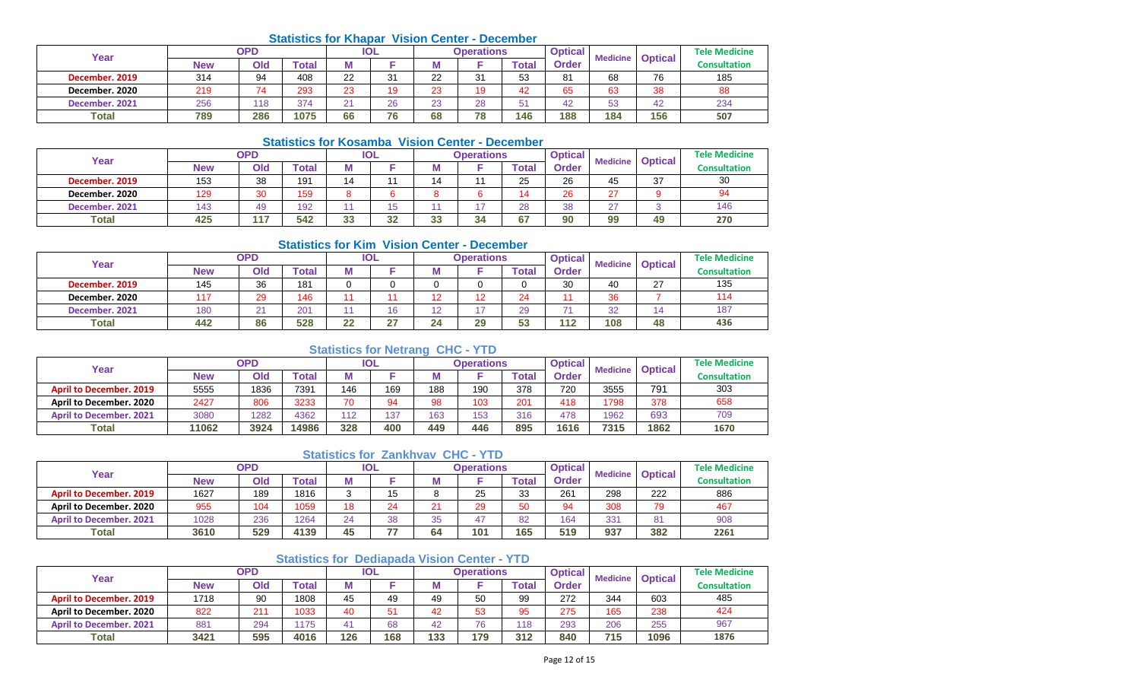#### **Statistics for Khapar Vision Center - December**

| Year           |     | OPD |              |                | <b>IOL</b> |              | <b>Operations</b> |                  | <b>Optical</b> | <b>Medicine</b> | <b>Optical</b> | <b>Tele Medicine</b> |
|----------------|-----|-----|--------------|----------------|------------|--------------|-------------------|------------------|----------------|-----------------|----------------|----------------------|
|                | New | Old | <b>Total</b> | ш              |            | w            |                   | Total            | <b>Order</b>   |                 |                | Consultation         |
| December. 2019 | 314 | 94  | 408          | 22             | 31         | つつ<br>ᅩ      | 31                | 53               | 81             | 68              | 76             | 185                  |
| December, 2020 | 219 | 74  | 293          | 23             | 19         | $\sim$<br>23 | 19                | 42               | 65             | 63              | 38             | 88                   |
| December, 2021 | 256 | 18  | 374          | $\bigcap$<br>- | 26         | $\sim$<br>دے | 28                | <b>CA</b><br>. ب | 42             | 52<br>υu        | 42             | 234                  |
| Total          | 789 | 286 | 1075         | 66             | 76         | 68           | 78                | 146              | 188            | 184             | 156            | 507                  |

#### **Statistics for Kosamba Vision Center - December**

| Year           |            | OPD |               |         | IOL            |             | Operations |       | Optical | <b>Medicine</b> | <b>Optical</b> | <b>Tele Medicine</b> |
|----------------|------------|-----|---------------|---------|----------------|-------------|------------|-------|---------|-----------------|----------------|----------------------|
|                | <b>New</b> | Old | <b>c</b> otal | IΜ      |                | .           |            | Total | Order   |                 |                | Consultation         |
| December, 2019 | 153        | 38  | 191           | 14      | $\overline{A}$ | 11          |            | 25    | 26      | 45              | 37             | 30                   |
| December, 2020 | 129        | 30  | 159           |         | ~              |             |            |       | 26      | $\sim$          |                | 94                   |
| December. 2021 | 143        | 49  | 192           |         | ィド<br>ט ו      |             |            | 28    | 38      | $\sim$          |                | 146                  |
| <b>Total</b>   | 425        | 17  | 542           | ഹ<br>აა | 32             | $\sim$<br>w | 34         | 67    | 90      | 99              | 49             | 270                  |

#### **Statistics for Kim Vision Center - December**

| Year           |            | OPD |              |    | <b>IOL</b> |        | <b>Operations</b> |       | <b>Optical</b> | <b>Medicine</b> | <b>Optical</b> | <b>Tele Medicine</b> |
|----------------|------------|-----|--------------|----|------------|--------|-------------------|-------|----------------|-----------------|----------------|----------------------|
|                | <b>New</b> | Old | <b>Total</b> | Μ  |            | IVI    |                   | Total | Order          |                 |                | <b>Consultation</b>  |
| December, 2019 | 145        | 36  | 181          | v  | U          |        |                   |       | 30             | 40              | 27             | 135                  |
| December. 2020 |            | 29  | 146          |    |            | 12     | 12                | 24    |                | 36              |                | 114                  |
| December. 2021 | 180        |     | 201          |    | 16         | $\sim$ | $\overline{ }$    | 29    | $\overline{a}$ | つつ              | 14             | 187                  |
| <b>Total</b>   | 442        | 86  | 528          | 22 | 27         | 24     | 29                | 53    | 112            | 108             | 48             | 436                  |

## **Statistics for Netrang CHC - YTD**

| Year                           |            | <b>OPD</b> |                  |     | IOL |     | <b>Operations</b> |       | <b>Optical</b> | <b>Medicine</b> | <b>Optical</b> | <b>Tele Medicine</b> |
|--------------------------------|------------|------------|------------------|-----|-----|-----|-------------------|-------|----------------|-----------------|----------------|----------------------|
|                                | <b>New</b> | Old        | $\mathsf{Total}$ |     |     |     |                   | Total | Order          |                 |                | <b>Consultation</b>  |
| <b>April to December, 2019</b> | 5555       | 1836       | 7391             | 146 | 169 | 188 | 190               | 378   | 720            | 3555            | 791            | 303                  |
| April to December, 2020        | 2427       | 806        | 3233             | 70  | 94  | 98  | 103               | 201   | 418            | 1798            | 378            | 658                  |
| <b>April to December, 2021</b> | 3080       | 1282       | 4362             | 112 | 137 | 163 | 153               | 316   | 478            | 1962            | 693            | 709                  |
| Total                          | 11062      | 3924       | 14986            | 328 | 400 | 449 | 446               | 895   | 1616           | 7315            | 1862           | 1670                 |

#### **Statistics for Zankhvav CHC - YTD**

| Year                           |            | <b>OPD</b> |              |    | IOL |         | <b>Operations</b> |       | <b>Optical</b> | <b>Medicine</b> | <b>Optical</b> | <b>Tele Medicine</b> |
|--------------------------------|------------|------------|--------------|----|-----|---------|-------------------|-------|----------------|-----------------|----------------|----------------------|
|                                | <b>New</b> | Old        | <b>Total</b> |    |     |         |                   | Total | Order          |                 |                | <b>Consultation</b>  |
| <b>April to December, 2019</b> | 1627       | 189        | 1816         |    | 15  | O       | 25                | 33    | 261            | 298             | 222            | 886                  |
| April to December, 2020        | 955        | 104        | 1059         | 18 | 24  |         | 29                | 50    | 94             | 308             | 79             | 467                  |
| <b>April to December, 2021</b> | 1028       | 236        | 1264         | 24 | 38  | 25<br>ື |                   | 82    | 164            | 331             | 81             | 908                  |
| <b>Total</b>                   | 3610       | 529        | 4139         | 45 | 77  | 64      | 101               | 165   | 519            | 937             | 382            | 2261                 |

## **Statistics for Dediapada Vision Center - YTD**

| Year                           |            | <b>OPD</b> |       |     | IOL |     | Operations |       | <b>Optical</b> | <b>Medicine</b> | <b>Optical</b> | <b>Tele Medicine</b> |
|--------------------------------|------------|------------|-------|-----|-----|-----|------------|-------|----------------|-----------------|----------------|----------------------|
|                                | <b>New</b> | Old        | 'otal |     |     |     |            | 'otal | <b>Order</b>   |                 |                | <b>Consultation</b>  |
| <b>April to December. 2019</b> | 1718       | 90         | 1808  | 45  | 49  | 49  | 50         | 99    | 272            | 344             | 603            | 485                  |
| April to December, 2020        | 822        | 21'        | 1033  | 40  | 51  | 42  | 53         | 95    | 275            | 165             | 238            | 424                  |
| <b>April to December, 2021</b> | 881        | 294        | 1175  |     | 68  | 42  | 76         | 118   | 293            | 206             | 255            | 967                  |
| <b>Total</b>                   | 3421       | 595        | 4016  | 126 | 168 | 133 | 179        | 312   | 840            | 715             | 1096           | 1876                 |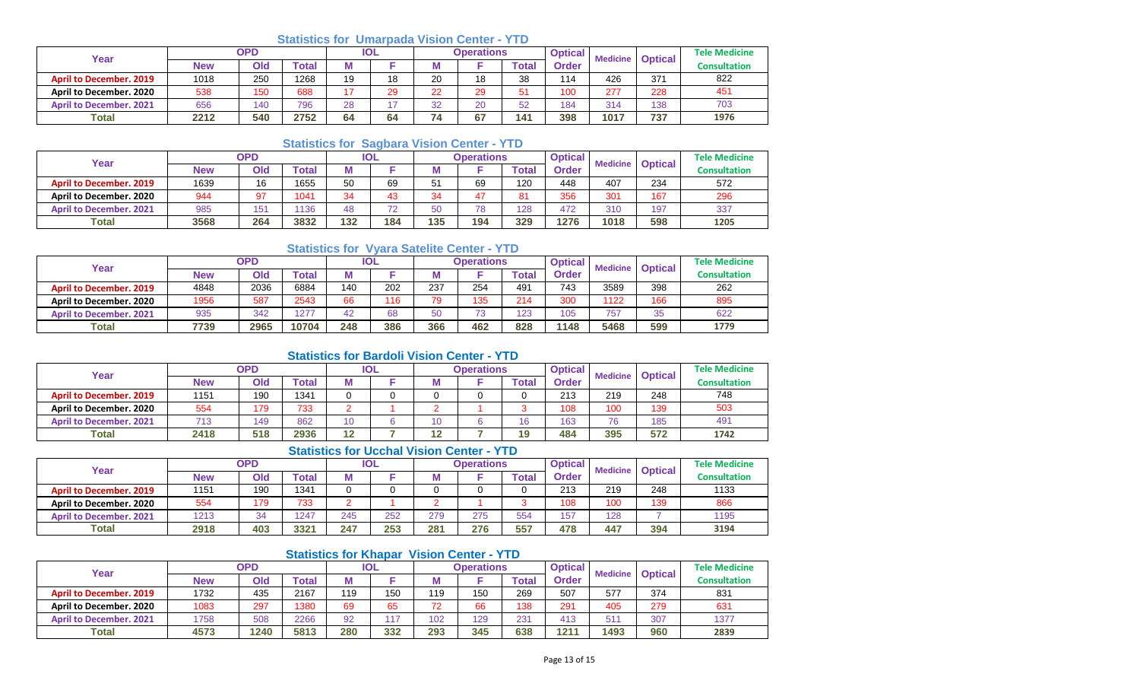## **Statistics for Umarpada Vision Center - YTD**

| Year                           | OPD  |     |       | IOL |    |                | <b>Operations</b> |       | <b>Optical</b> | <b>Medicine</b> | <b>Optical</b> | <b>Tele Medicine</b> |
|--------------------------------|------|-----|-------|-----|----|----------------|-------------------|-------|----------------|-----------------|----------------|----------------------|
|                                | New  | Old | Гоtal | М   |    |                |                   | `otal | Order          |                 |                | Consultation         |
| <b>April to December, 2019</b> | 1018 | 250 | 1268  | 19  | 18 | 20             | 18                | 38    | 114            | 426             | 371            | 822                  |
| <b>April to December, 2020</b> | 538  | 150 | 688   | 17  | 29 | つつ             | 29                |       | 100            | 277             | 228            | 451                  |
| <b>April to December, 2021</b> | 656  | 140 | 796   | 28  |    | $\Omega$       | 20                | 52    | 184            | 31/             | 138            | 703                  |
| <b>Total</b>                   | 2212 | 540 | 2752  | 64  | 64 | 7 <sub>A</sub> | 67                | 141   | 398            | 1017            | 737            | 1976                 |

## **Statistics for Sagbara Vision Center - YTD**

| Year                           |            | <b>OPD</b> |              | <b>IOL</b> |     |                | <b>Operations</b> |       | <b>Optical</b> | <b>Medicine</b> | <b>Optical</b> | <b>Tele Medicine</b> |
|--------------------------------|------------|------------|--------------|------------|-----|----------------|-------------------|-------|----------------|-----------------|----------------|----------------------|
|                                | <b>New</b> | Old        | <b>Total</b> | м          |     |                |                   | Total | Order          |                 |                | <b>Consultation</b>  |
| <b>April to December, 2019</b> | 1639       | 16         | 1655         | 50         | 69  | 5 <sup>1</sup> | 69                | 120   | 448            | 407             | 234            | 572                  |
| April to December, 2020        | 944        | 97         | 1041         | 34         | 43  | 34             |                   | 81    | 356            | 301             | 167            | 296                  |
| <b>April to December, 2021</b> | 985        | 151        | 136          | 48         | 72  | 50             | 78                | 128   | 472            | 310             | 197            | 337                  |
| <b>Total</b>                   | 3568       | 264        | 3832         | 132        | 184 | 135            | 194               | 329   | 1276           | 1018            | 598            | 1205                 |

## **Statistics for Vyara Satelite Center - YTD**

| Year                           |      | OPD  |       | <b>IOL</b> |     | <b>Operations</b> |                                 |       | <b>Optical</b><br><b>Medicine</b> |      | <b>Optical</b> | <b>Tele Medicine</b> |
|--------------------------------|------|------|-------|------------|-----|-------------------|---------------------------------|-------|-----------------------------------|------|----------------|----------------------|
|                                | New  | Old  | 'otal | M          |     |                   |                                 | Total | Order                             |      |                | Consultation         |
| <b>April to December, 2019</b> | 4848 | 2036 | 6884  | 140        | 202 | 237               | 254                             | 491   | 743                               | 3589 | 398            | 262                  |
| April to December, 2020        | 1956 | 587  | 2543  | 66         | 116 | 79                | 135                             | 214   | 300                               | 1122 | 166            | 895                  |
| <b>April to December, 2021</b> | 935  | 342  | 1277  | 42         | 68  | 50                | $\overline{\phantom{a}}$<br>ت ؛ | 123   | 105                               | 757  | 35             | 622                  |
| <b>Total</b>                   | 7739 | 2965 | 10704 | 248        | 386 | 366               | 462                             | 828   | 1148                              | 5468 | 599            | 1779                 |

## **Statistics for Bardoli Vision Center - YTD**

| Year                           |            | <b>OPD</b> |       | IOL       |  |           | Operations |       | <b>Optical</b> | <b>Medicine   Optical</b> |     | <b>Tele Medicine</b> |
|--------------------------------|------------|------------|-------|-----------|--|-----------|------------|-------|----------------|---------------------------|-----|----------------------|
|                                | <b>New</b> | Old        | Total |           |  |           |            | Total | Order          |                           |     | <b>Consultation</b>  |
| <b>April to December. 2019</b> | 1151       | 190        | 1341  |           |  |           |            |       | 213            | 219                       | 248 | 748                  |
| April to December, 2020        | 554        | 179        | 733   |           |  |           |            |       | 108            | 100                       | 139 | 503                  |
| <b>April to December, 2021</b> | 712        | 49         | 862   |           |  | 10        |            | 16    | 163            | 76                        | 185 | 491                  |
| <b>Total</b>                   | 2418       | 518        | 2936  | 10<br>. . |  | 10<br>. . |            | 19    | 484            | 395                       | 572 | 1742                 |

## **Statistics for Ucchal Vision Center - YTD**

| Year                           |            | <b>OPD</b> |                         | <b>IOL</b> |     |     | Operations |       | <b>Optical</b> | <b>Medicine</b> | <b>Optical</b> | <b>Tele Medicine</b> |  |
|--------------------------------|------------|------------|-------------------------|------------|-----|-----|------------|-------|----------------|-----------------|----------------|----------------------|--|
|                                | <b>New</b> | Old        | <b><sup>r</sup>otal</b> |            |     | M   |            | `otal | <b>Order</b>   |                 |                | <b>Consultation</b>  |  |
| <b>April to December, 2019</b> | 1151       | 190        | 1341                    |            |     |     |            |       | 213            | 219             | 248            | 1133                 |  |
| <b>April to December, 2020</b> | 554        | 179        | 733                     |            |     |     |            |       | 108            | 100             | 139            | 866                  |  |
| <b>April to December, 2021</b> | 1213       | 34         | 1247                    | 245        | 252 | 279 | 275        | 554   | 157            | 128             |                | 1195                 |  |
| <b>Total</b>                   | 2918       | 403        | 3321                    | 247        | 253 | 281 | 276        | 557   | 478            | 447             | 394            | 3194                 |  |

## **Statistics for Khapar Vision Center - YTD**

| Year                           | OPD  |      |       | IOL |     | <b>Operations</b> |     |       | <b>Optical</b> | <b>Medicine</b> | <b>Optical</b> | <b>Tele Medicine</b> |
|--------------------------------|------|------|-------|-----|-----|-------------------|-----|-------|----------------|-----------------|----------------|----------------------|
|                                | New  | Old  | Total |     |     |                   |     | Total | <b>Order</b>   |                 |                | <b>Consultation</b>  |
| <b>April to December, 2019</b> | 1732 | 435  | 2167  | 119 | 150 | 119               | 150 | 269   | 507            | 577             | 374            | 831                  |
| April to December, 2020        | 1083 | 297  | 1380  | 69  | 65  | 72                | 66  | 138   | 291            | 405             | 279            | 631                  |
| <b>April to December, 2021</b> | 1758 | 508  | 2266  | 92  | 117 | 102               | 129 | 231   | 413            | 51'             | 307            | 1377                 |
| Total                          | 4573 | 1240 | 5813  | 280 | 332 | 293               | 345 | 638   | 1211           | 1493            | 960            | 2839                 |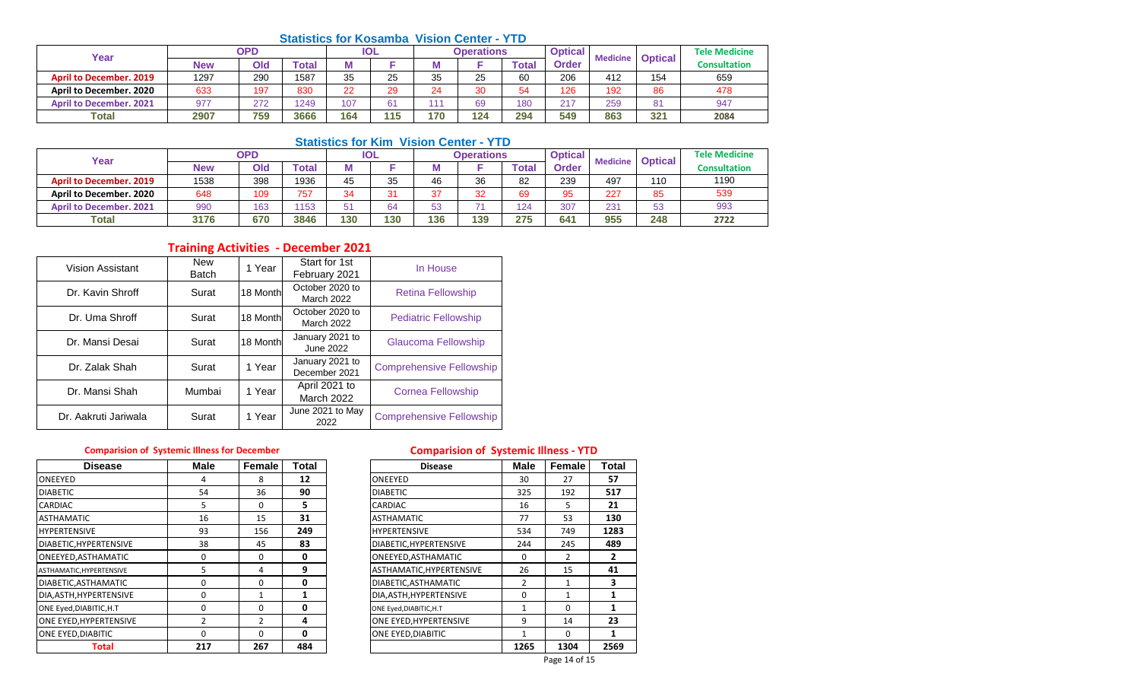## **Statistics for Kosamba Vision Center - YTD**

| Year                           | <b>OPD</b> |     |              | <b>IOL</b> |     | <b>Operations</b> |     |             | <b>Optical</b><br><b>Medicine</b> |     | <b>Optical</b> | <b>Tele Medicine</b> |
|--------------------------------|------------|-----|--------------|------------|-----|-------------------|-----|-------------|-----------------------------------|-----|----------------|----------------------|
|                                | New        | Old | <b>Total</b> | w          |     |                   |     | <b>Tota</b> | <b>Order</b>                      |     |                | Consultation         |
| <b>April to December, 2019</b> | 1297       | 290 | 1587         | 35         | 25  | 35                | 25  | 60          | 206                               | 412 | 154            | 659                  |
| April to December, 2020        | 633        | 197 | 830          | 22         | 29  | 24                | 30  | 54          | 126                               | 192 | 86             | 478                  |
| <b>April to December, 2021</b> | 977        | 272 | 1249         | 107        | 61  | $\mathcal{A}$     | 69  | 180         | 217                               | 259 | 81             | 947                  |
| <b>Total</b>                   | 2907       | 759 | 3666         | 164        | 115 | 170               | 124 | 294         | 549                               | 863 | 321            | 2084                 |

## **Statistics for Kim Vision Center - YTD**

| Year                           |            | <b>OPD</b> |              | <b>IOL</b> |     | <b>Operations</b> |     |       | <b>Optical</b> | <b>Medicine</b> | <b>Optical</b> | <b>Tele Medicine</b> |
|--------------------------------|------------|------------|--------------|------------|-----|-------------------|-----|-------|----------------|-----------------|----------------|----------------------|
|                                | <b>New</b> | Old        | <b>Total</b> |            |     |                   |     | Total | <b>Order</b>   |                 |                | <b>Consultation</b>  |
| <b>April to December, 2019</b> | 1538       | 398        | 1936         | 45         | 35  | 46                | 36  | 82    | 239            | 497             | 110            | 1190                 |
| <b>April to December, 2020</b> | 648        | 109        | 757          | 24         | 31  | $\sim$<br>، ب     | 32  | 69    | 95             | 227             | 85             | 539                  |
| <b>April to December, 2021</b> | 990        | 163        | 153          | 54         | 64  | 53                |     | 124   | 307            | 231             | 53             | 993                  |
| Total                          | 3176       | 670        | 3846         | 130        | 130 | 136               | 139 | 275   | 641            | 955             | 248            | 2722                 |

## **Training Activities - December 2021**

| Vision Assistant     | <b>New</b><br><b>Batch</b> | 1 Year   | Start for 1st<br>February 2021     | In House                        |
|----------------------|----------------------------|----------|------------------------------------|---------------------------------|
| Dr. Kavin Shroff     | Surat                      | 18 Month | October 2020 to<br>March 2022      | <b>Retina Fellowship</b>        |
| Dr. Uma Shroff       | Surat                      | 18 Month | October 2020 to<br>March 2022      | <b>Pediatric Fellowship</b>     |
| Dr. Mansi Desai      | Surat                      | 18 Month | January 2021 to<br>June 2022       | Glaucoma Fellowship             |
| Dr. Zalak Shah       | Surat                      | 1 Year   | January 2021 to<br>December 2021   | <b>Comprehensive Fellowship</b> |
| Dr. Mansi Shah       | Mumbai                     | 1 Year   | April 2021 to<br><b>March 2022</b> | <b>Cornea Fellowship</b>        |
| Dr. Aakruti Jariwala | Surat                      | 1 Year   | June 2021 to May<br>2022           | <b>Comprehensive Fellowship</b> |

| <b>Disease</b>           | <b>Male</b>   | Female         | <b>Total</b> | <b>Disease</b>           | <b>Male</b> | Female         | Tota           |
|--------------------------|---------------|----------------|--------------|--------------------------|-------------|----------------|----------------|
| ONEEYED                  | 4             | 8              | 12           | ONEEYED                  | 30          | 27             | 57             |
| <b>DIABETIC</b>          | 54            | 36             | 90           | <b>DIABETIC</b>          | 325         | 192            | 517            |
| <b>CARDIAC</b>           | 5             | $\Omega$       | 5.           | <b>CARDIAC</b>           | 16          | 5.             | 21             |
| <b>ASTHAMATIC</b>        | 16            | 15             | 31           | <b>ASTHAMATIC</b>        | 77          | 53             | 130            |
| <b>HYPERTENSIVE</b>      | 93            | 156            | 249          | <b>HYPERTENSIVE</b>      | 534         | 749            | 1283           |
| DIABETIC, HYPERTENSIVE   | 38            | 45             | 83           | DIABETIC, HYPERTENSIVE   | 244         | 245            | 489            |
| ONEEYED, ASTHAMATIC      | $\Omega$      | $\Omega$       | 0            | ONEEYED, ASTHAMATIC      | 0           | $\overline{2}$ | $\overline{2}$ |
| ASTHAMATIC, HYPERTENSIVE | 5             | $\overline{4}$ | 9            | ASTHAMATIC, HYPERTENSIVE | 26          | 15             | 41             |
| DIABETIC, ASTHAMATIC     | 0             | $\Omega$       | 0            | DIABETIC.ASTHAMATIC      | 2           |                | 3              |
| DIA, ASTH, HYPERTENSIVE  | 0             |                |              | DIA, ASTH, HYPERTENSIVE  | 0           |                |                |
| ONE Eyed, DIABITIC, H.T. | 0             | $\Omega$       | 0            | ONE Eyed, DIABITIC, H.T  |             | $\Omega$       |                |
| ONE EYED, HYPERTENSIVE   | $\mathfrak z$ | $\mathcal{P}$  | 4            | ONE EYED, HYPERTENSIVE   | 9           | 14             | 23             |
| ONE EYED, DIABITIC       | 0             | $\Omega$       | 0            | ONE EYED, DIABITIC       |             | $\Omega$       |                |
| Total                    | 217           | 267            | 484          |                          | 1265        | 1304           | 2569           |

## **Comparision of Systemic Illness for December Comparision of Systemic Illness - YTD**

| <b>Disease</b>      | Male | Female   | Total        | <b>Disease</b>           | <b>Male</b>  | Female        | Total |
|---------------------|------|----------|--------------|--------------------------|--------------|---------------|-------|
|                     | 4    | 8        | 12           | ONEEYED                  | 30           | 27            | 57    |
|                     | 54   | 36       | 90           | <b>DIABETIC</b>          | 325          | 192           | 517   |
|                     | 5    | 0        | 5            | <b>CARDIAC</b>           | 16           | 5             | 21    |
| IC                  | 16   | 15       | 31           | <b>ASTHAMATIC</b>        | 77           | 53            | 130   |
| IVE                 | 93   | 156      | 249          | <b>HYPERTENSIVE</b>      | 534          | 749           | 1283  |
| YPERTENSIVE         | 38   | 45       | 83           | DIABETIC, HYPERTENSIVE   | 244          | 245           | 489   |
| STHAMATIC           | 0    | $\Omega$ | $\Omega$     | ONEEYED, ASTHAMATIC      | $\Omega$     | $\mathcal{P}$ | 2     |
| <b>IYPERTENSIVE</b> | 5    | 4        | 9            | ASTHAMATIC, HYPERTENSIVE | 26           | 15            | 41    |
| STHAMATIC           | 0    | 0        | 0            | DIABETIC, ASTHAMATIC     | 2            | 1             | 3     |
| YPERTENSIVE         | 0    |          |              | DIA, ASTH, HYPERTENSIVE  | 0            | 1             |       |
| ABITIC,H.T          | 0    | $\Omega$ | $\mathbf{0}$ | ONE Eyed, DIABITIC, H.T  | 1            | $\Omega$      |       |
| <b>IYPERTENSIVE</b> | 2    | 2        | 4            | ONE EYED, HYPERTENSIVE   | 9            | 14            | 23    |
| <b>IABITIC</b>      | 0    | $\Omega$ | $\mathbf{0}$ | ONE EYED, DIABITIC       | $\mathbf{1}$ | $\Omega$      | 1     |
| <b>Total</b>        | 217  | 267      | 484          |                          | 1265         | 1304          | 2569  |
|                     |      |          |              |                          |              | Page 14 of 15 |       |